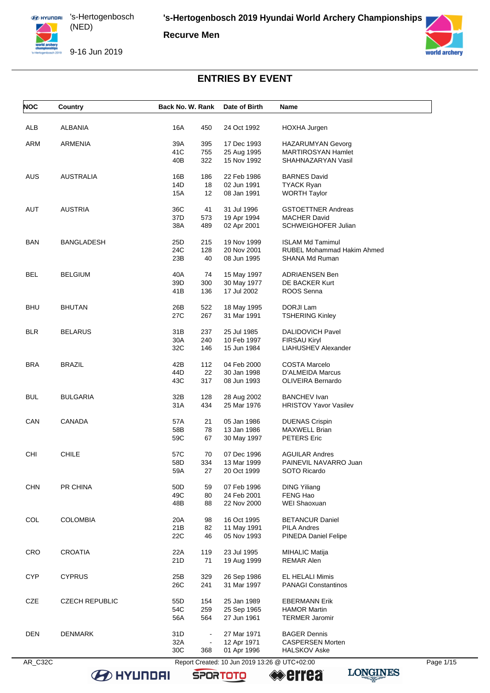**Recurve Men**





# **ENTRIES BY EVENT**

| <b>NOC</b> | Country               | Back No. W. Rank |                | Date of Birth                                 | Name                         |           |
|------------|-----------------------|------------------|----------------|-----------------------------------------------|------------------------------|-----------|
| <b>ALB</b> | <b>ALBANIA</b>        | 16A              | 450            | 24 Oct 1992                                   | HOXHA Jurgen                 |           |
| ARM        | <b>ARMENIA</b>        | 39A              | 395            | 17 Dec 1993                                   | <b>HAZARUMYAN Gevorg</b>     |           |
|            |                       | 41C              | 755            | 25 Aug 1995                                   | <b>MARTIROSYAN Hamlet</b>    |           |
|            |                       | 40B              | 322            | 15 Nov 1992                                   | SHAHNAZARYAN Vasil           |           |
| <b>AUS</b> | AUSTRALIA             | 16B              | 186            | 22 Feb 1986                                   | <b>BARNES David</b>          |           |
|            |                       | 14D              | 18             | 02 Jun 1991                                   | <b>TYACK Ryan</b>            |           |
|            |                       | 15A              | 12             | 08 Jan 1991                                   | <b>WORTH Taylor</b>          |           |
| AUT        | <b>AUSTRIA</b>        | 36C              | 41             | 31 Jul 1996                                   | <b>GSTOETTNER Andreas</b>    |           |
|            |                       | 37D              | 573            | 19 Apr 1994                                   | <b>MACHER David</b>          |           |
|            |                       | 38A              | 489            | 02 Apr 2001                                   | SCHWEIGHOFER Julian          |           |
| <b>BAN</b> | <b>BANGLADESH</b>     | 25D              | 215            | 19 Nov 1999                                   | <b>ISLAM Md Tamimul</b>      |           |
|            |                       | 24C              | 128            | 20 Nov 2001                                   | RUBEL Mohammad Hakim Ahmed   |           |
|            |                       | 23B              | 40             | 08 Jun 1995                                   | SHANA Md Ruman               |           |
| <b>BEL</b> | <b>BELGIUM</b>        | 40A              | 74             | 15 May 1997                                   | <b>ADRIAENSEN Ben</b>        |           |
|            |                       | 39D              | 300            | 30 May 1977                                   | DE BACKER Kurt               |           |
|            |                       | 41B              | 136            | 17 Jul 2002                                   | ROOS Senna                   |           |
| <b>BHU</b> | <b>BHUTAN</b>         | 26B              | 522            | 18 May 1995                                   | DORJI Lam                    |           |
|            |                       | 27C              | 267            | 31 Mar 1991                                   | <b>TSHERING Kinley</b>       |           |
| <b>BLR</b> | <b>BELARUS</b>        | 31B              | 237            | 25 Jul 1985                                   | <b>DALIDOVICH Pavel</b>      |           |
|            |                       | 30A              | 240            | 10 Feb 1997                                   | <b>FIRSAU Kiryl</b>          |           |
|            |                       | 32C              | 146            | 15 Jun 1984                                   | LIAHUSHEV Alexander          |           |
| <b>BRA</b> | <b>BRAZIL</b>         | 42B              | 112            | 04 Feb 2000                                   | <b>COSTA Marcelo</b>         |           |
|            |                       | 44D              | 22             | 30 Jan 1998                                   | D'ALMEIDA Marcus             |           |
|            |                       | 43C              | 317            | 08 Jun 1993                                   | OLIVEIRA Bernardo            |           |
| <b>BUL</b> | <b>BULGARIA</b>       | 32B              | 128            | 28 Aug 2002                                   | <b>BANCHEV Ivan</b>          |           |
|            |                       | 31A              | 434            | 25 Mar 1976                                   | <b>HRISTOV Yavor Vasilev</b> |           |
| CAN        | CANADA                | 57A              | 21             | 05 Jan 1986                                   | <b>DUENAS Crispin</b>        |           |
|            |                       | 58B              | 78             | 13 Jan 1986                                   | <b>MAXWELL Brian</b>         |           |
|            |                       | 59C              | 67             | 30 May 1997                                   | PETERS Eric                  |           |
| <b>CHI</b> | <b>CHILE</b>          | 57C              | 70             | 07 Dec 1996                                   | <b>AGUILAR Andres</b>        |           |
|            |                       | 58D              | 334            | 13 Mar 1999                                   | PAINEVIL NAVARRO Juan        |           |
|            |                       | 59A              | 27             | 20 Oct 1999                                   | SOTO Ricardo                 |           |
| <b>CHN</b> | PR CHINA              | 50 <sub>D</sub>  | 59             | 07 Feb 1996                                   | <b>DING Yiliang</b>          |           |
|            |                       | 49C              | 80             | 24 Feb 2001                                   | FENG Hao                     |           |
|            |                       | 48B              | 88             | 22 Nov 2000                                   | WEI Shaoxuan                 |           |
| COL        | <b>COLOMBIA</b>       | 20A              | 98             | 16 Oct 1995                                   | <b>BETANCUR Daniel</b>       |           |
|            |                       | 21B              | 82             | 11 May 1991                                   | <b>PILA Andres</b>           |           |
|            |                       | 22C              | 46             | 05 Nov 1993                                   | PINEDA Daniel Felipe         |           |
| <b>CRO</b> | <b>CROATIA</b>        | 22A              | 119            | 23 Jul 1995                                   | <b>MIHALIC Matija</b>        |           |
|            |                       | 21D              | 71             | 19 Aug 1999                                   | REMAR Alen                   |           |
| <b>CYP</b> | <b>CYPRUS</b>         | 25B              | 329            | 26 Sep 1986                                   | EL HELALI Mimis              |           |
|            |                       | 26C              | 241            | 31 Mar 1997                                   | <b>PANAGI Constantinos</b>   |           |
| CZE        | <b>CZECH REPUBLIC</b> | 55D              | 154            | 25 Jan 1989                                   | <b>EBERMANN Erik</b>         |           |
|            |                       | 54C              | 259            | 25 Sep 1965                                   | <b>HAMOR Martin</b>          |           |
|            |                       | 56A              | 564            | 27 Jun 1961                                   | <b>TERMER Jaromir</b>        |           |
| <b>DEN</b> | <b>DENMARK</b>        | 31D              | $\blacksquare$ | 27 Mar 1971                                   | <b>BAGER Dennis</b>          |           |
|            |                       | 32A              | $\blacksquare$ | 12 Apr 1971                                   | <b>CASPERSEN Morten</b>      |           |
|            |                       | 30C              | 368            | 01 Apr 1996                                   | HALSKOV Aske                 |           |
| AR_C32C    |                       |                  |                | Report Created: 10 Jun 2019 13:26 @ UTC+02:00 |                              | Page 1/15 |

**B** HYUNDAI

**SPORTOTO** 

**errea**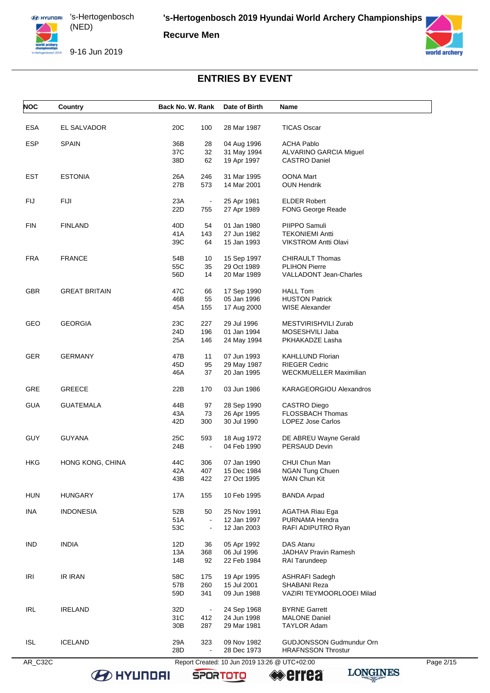**Recurve Men**

9-16 Jun 2019



# **ENTRIES BY EVENT**

| <b>NOC</b> | Country              | Back No. W. Rank      | Date of Birth                                 | Name                            |           |
|------------|----------------------|-----------------------|-----------------------------------------------|---------------------------------|-----------|
| <b>ESA</b> | EL SALVADOR          | 20C<br>100            | 28 Mar 1987                                   | <b>TICAS Oscar</b>              |           |
| <b>ESP</b> | <b>SPAIN</b>         | 36B<br>28             | 04 Aug 1996                                   | <b>ACHA Pablo</b>               |           |
|            |                      | 37C<br>32             | 31 May 1994                                   | ALVARINO GARCIA Miguel          |           |
|            |                      | 38D<br>62             | 19 Apr 1997                                   | <b>CASTRO Daniel</b>            |           |
| <b>EST</b> | <b>ESTONIA</b>       | 26A<br>246            | 31 Mar 1995                                   | <b>OONA Mart</b>                |           |
|            |                      | 27B<br>573            | 14 Mar 2001                                   | <b>OUN Hendrik</b>              |           |
| <b>FIJ</b> | FIJI                 | 23A                   | 25 Apr 1981                                   | <b>ELDER Robert</b>             |           |
|            |                      | 22D<br>755            | 27 Apr 1989                                   | <b>FONG George Reade</b>        |           |
| <b>FIN</b> | <b>FINLAND</b>       | 40D<br>54             | 01 Jan 1980                                   | PIIPPO Samuli                   |           |
|            |                      | 41A<br>143            | 27 Jun 1982                                   | <b>TEKONIEMI Antti</b>          |           |
|            |                      | 39C<br>64             | 15 Jan 1993                                   | <b>VIKSTROM Antti Olavi</b>     |           |
| <b>FRA</b> | <b>FRANCE</b>        | 54B<br>10             | 15 Sep 1997                                   | <b>CHIRAULT Thomas</b>          |           |
|            |                      | 55C<br>35             | 29 Oct 1989                                   | <b>PLIHON Pierre</b>            |           |
|            |                      | 56D<br>14             | 20 Mar 1989                                   | VALLADONT Jean-Charles          |           |
| <b>GBR</b> | <b>GREAT BRITAIN</b> | 47C<br>66             | 17 Sep 1990                                   | <b>HALL Tom</b>                 |           |
|            |                      | 46B<br>55             | 05 Jan 1996                                   | <b>HUSTON Patrick</b>           |           |
|            |                      | 45A<br>155            | 17 Aug 2000                                   | <b>WISE Alexander</b>           |           |
| GEO        | <b>GEORGIA</b>       | 23C<br>227            | 29 Jul 1996                                   | MESTVIRISHVILI Zurab            |           |
|            |                      | 24D<br>196            | 01 Jan 1994                                   | MOSESHVILI Jaba                 |           |
|            |                      | 25A<br>146            | 24 May 1994                                   | PKHAKADZE Lasha                 |           |
| <b>GER</b> | <b>GERMANY</b>       | 47B<br>11             | 07 Jun 1993                                   | <b>KAHLLUND Florian</b>         |           |
|            |                      | 45D<br>95             | 29 May 1987                                   | <b>RIEGER Cedric</b>            |           |
|            |                      | 46A<br>37             | 20 Jan 1995                                   | WECKMUELLER Maximilian          |           |
| <b>GRE</b> | GREECE               | 22B<br>170            | 03 Jun 1986                                   | KARAGEORGIOU Alexandros         |           |
| <b>GUA</b> | <b>GUATEMALA</b>     | 44B<br>97             | 28 Sep 1990                                   | CASTRO Diego                    |           |
|            |                      | 43A<br>73             | 26 Apr 1995                                   | <b>FLOSSBACH Thomas</b>         |           |
|            |                      | 42D<br>300            | 30 Jul 1990                                   | <b>LOPEZ Jose Carlos</b>        |           |
| <b>GUY</b> | <b>GUYANA</b>        | 25C<br>593            | 18 Aug 1972                                   | DE ABREU Wayne Gerald           |           |
|            |                      | 24B<br>$\blacksquare$ | 04 Feb 1990                                   | PERSAUD Devin                   |           |
| HKG        | HONG KONG, CHINA     | 44C<br>306            | 07 Jan 1990                                   | CHUI Chun Man                   |           |
|            |                      | 42A<br>407            | 15 Dec 1984                                   | <b>NGAN Tung Chuen</b>          |           |
|            |                      | 43B<br>422            | 27 Oct 1995                                   | WAN Chun Kit                    |           |
| <b>HUN</b> | <b>HUNGARY</b>       | 17A<br>155            | 10 Feb 1995                                   | <b>BANDA Arpad</b>              |           |
| INA        | <b>INDONESIA</b>     | 52B<br>50             | 25 Nov 1991                                   | <b>AGATHA Riau Ega</b>          |           |
|            |                      | 51A<br>$\blacksquare$ | 12 Jan 1997                                   | PURNAMA Hendra                  |           |
|            |                      | 53C<br>$\blacksquare$ | 12 Jan 2003                                   | RAFI ADIPUTRO Ryan              |           |
| <b>IND</b> | <b>INDIA</b>         | 12D<br>36             | 05 Apr 1992                                   | <b>DAS Atanu</b>                |           |
|            |                      | 13A<br>368            | 06 Jul 1996                                   | <b>JADHAV Pravin Ramesh</b>     |           |
|            |                      | 14B<br>92             | 22 Feb 1984                                   | RAI Tarundeep                   |           |
| IRI        | <b>IR IRAN</b>       | 58C<br>175            | 19 Apr 1995                                   | <b>ASHRAFI Sadegh</b>           |           |
|            |                      | 57B<br>260            | 15 Jul 2001                                   | SHABANI Reza                    |           |
|            |                      | 59D<br>341            | 09 Jun 1988                                   | VAZIRI TEYMOORLOOEI Milad       |           |
| <b>IRL</b> | <b>IRELAND</b>       | 32D<br>$\blacksquare$ | 24 Sep 1968                                   | <b>BYRNE Garrett</b>            |           |
|            |                      | 31C<br>412            | 24 Jun 1998                                   | <b>MALONE Daniel</b>            |           |
|            |                      | 30B<br>287            | 29 Mar 1981                                   | TAYLOR Adam                     |           |
| <b>ISL</b> | <b>ICELAND</b>       | 29A<br>323            | 09 Nov 1982                                   | <b>GUDJONSSON Gudmundur Orn</b> |           |
|            |                      | 28D<br>$\blacksquare$ | 28 Dec 1973                                   | <b>HRAFNSSON Throstur</b>       |           |
| AR_C32C    |                      |                       | Report Created: 10 Jun 2019 13:26 @ UTC+02:00 |                                 | Page 2/15 |

**EXECUTED HEL** 

**SPORTOTO Errea** 

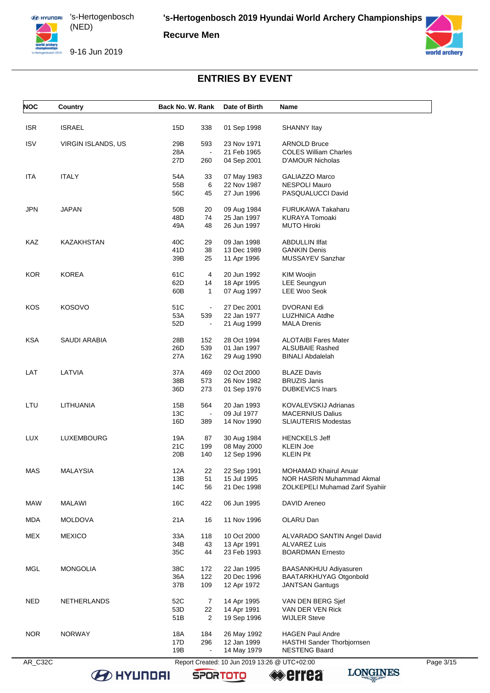**Recurve Men**



9-16 Jun 2019



# **ENTRIES BY EVENT**

| <b>ISRAEL</b><br>15D<br>338<br>01 Sep 1998<br><b>SHANNY Itay</b><br><b>ISV</b><br>29B<br>VIRGIN ISLANDS, US<br>593<br>23 Nov 1971<br><b>ARNOLD Bruce</b><br>28A<br>21 Feb 1965<br><b>COLES William Charles</b><br>$\blacksquare$<br>27D<br>260<br>04 Sep 2001<br><b>D'AMOUR Nicholas</b><br><b>ITALY</b><br>54A<br>33<br>07 May 1983<br>GALIAZZO Marco<br>55B<br>6<br>22 Nov 1987<br><b>NESPOLI Mauro</b><br>56C<br>27 Jun 1996<br>PASQUALUCCI David<br>45<br><b>JAPAN</b><br>50 <sub>B</sub><br>09 Aug 1984<br><b>FURUKAWA Takaharu</b><br>20<br>48D<br>74<br>25 Jan 1997<br><b>KURAYA Tomoaki</b><br>49A<br>48<br>26 Jun 1997<br><b>MUTO Hiroki</b><br>40C<br>KAZAKHSTAN<br>09 Jan 1998<br>29<br><b>ABDULLIN IIfat</b><br>41D<br>38<br>13 Dec 1989<br><b>GANKIN Denis</b><br>39B<br>25<br>11 Apr 1996<br>MUSSAYEV Sanzhar<br><b>KOREA</b><br>61C<br>20 Jun 1992<br>4<br>KIM Woojin<br>62D<br><b>LEE Seungyun</b><br>14<br>18 Apr 1995<br>60B<br>$\mathbf{1}$<br>07 Aug 1997<br>LEE Woo Seok<br>51C<br><b>KOSOVO</b><br>27 Dec 2001<br>DVORANI Edi<br>$\sim$<br>53A<br>539<br>22 Jan 1977<br>LUZHNICA Atdhe<br>52D<br>21 Aug 1999<br><b>MALA Drenis</b><br>$\blacksquare$<br>SAUDI ARABIA<br>28B<br>152<br>28 Oct 1994<br><b>ALOTAIBI Fares Mater</b><br>26D<br>539<br>01 Jan 1997<br><b>ALSUBAIE Rashed</b><br>27A<br>162<br>29 Aug 1990<br><b>BINALI Abdalelah</b><br>LAT<br>LATVIA<br>37A<br>469<br>02 Oct 2000<br><b>BLAZE Davis</b><br>38B<br>573<br>26 Nov 1982<br><b>BRUZIS Janis</b><br>36D<br>273<br>01 Sep 1976<br><b>DUBKEVICS Inars</b><br>LTU<br>LITHUANIA<br>15B<br>564<br>20 Jan 1993<br>KOVALEVSKIJ Adrianas<br>13C<br>09 Jul 1977<br><b>MACERNIUS Dalius</b><br>16D<br><b>SLIAUTERIS Modestas</b><br>389<br>14 Nov 1990<br><b>LUX</b><br>LUXEMBOURG<br>19A<br>30 Aug 1984<br><b>HENCKELS Jeff</b><br>87<br>21C<br>199<br>08 May 2000<br>KLEIN Joe<br>20 <sub>B</sub><br>140<br>12 Sep 1996<br><b>KLEIN Pit</b><br><b>MAS</b><br><b>MALAYSIA</b><br>12A<br>22<br>22 Sep 1991<br>MOHAMAD Khairul Anuar<br>15 Jul 1995<br>NOR HASRIN Muhammad Akmal<br>13B<br>51<br>14C<br>56<br>21 Dec 1998<br>ZOLKEPELI Muhamad Zarif Syahiir<br><b>MAW</b><br><b>MALAWI</b><br>16C<br>422<br>06 Jun 1995<br>DAVID Areneo<br><b>MDA</b><br>21A<br>11 Nov 1996<br>OLARU Dan<br><b>MOLDOVA</b><br>16<br><b>MEX</b><br>33A<br><b>MEXICO</b><br>118<br>10 Oct 2000<br>ALVARADO SANTIN Angel David<br>34B<br>43<br><b>ALVAREZ Luis</b><br>13 Apr 1991<br>35C<br>23 Feb 1993<br>44<br><b>BOARDMAN Ernesto</b><br><b>MONGOLIA</b><br>38C<br>22 Jan 1995<br>172<br>BAASANKHUU Adiyasuren<br>36A<br>122<br>20 Dec 1996<br>BAATARKHUYAG Otgonbold<br>37B<br>109<br>12 Apr 1972<br><b>JANTSAN Gantugs</b><br><b>NED</b><br>52C<br>14 Apr 1995<br><b>NETHERLANDS</b><br>7<br>VAN DEN BERG Sjef<br>53D<br>22<br>14 Apr 1991<br>VAN DER VEN Rick<br>51B<br>$\overline{2}$<br>19 Sep 1996<br><b>WIJLER Steve</b><br><b>NOR</b><br><b>NORWAY</b><br>18A<br>26 May 1992<br><b>HAGEN Paul Andre</b><br>184<br>17D<br>12 Jan 1999<br>296<br>HASTHI Sander Thorbjornsen<br>19B<br>14 May 1979<br><b>NESTENG Baard</b> | <b>NOC</b> | Country | Back No. W. Rank | Date of Birth | Name |  |
|----------------------------------------------------------------------------------------------------------------------------------------------------------------------------------------------------------------------------------------------------------------------------------------------------------------------------------------------------------------------------------------------------------------------------------------------------------------------------------------------------------------------------------------------------------------------------------------------------------------------------------------------------------------------------------------------------------------------------------------------------------------------------------------------------------------------------------------------------------------------------------------------------------------------------------------------------------------------------------------------------------------------------------------------------------------------------------------------------------------------------------------------------------------------------------------------------------------------------------------------------------------------------------------------------------------------------------------------------------------------------------------------------------------------------------------------------------------------------------------------------------------------------------------------------------------------------------------------------------------------------------------------------------------------------------------------------------------------------------------------------------------------------------------------------------------------------------------------------------------------------------------------------------------------------------------------------------------------------------------------------------------------------------------------------------------------------------------------------------------------------------------------------------------------------------------------------------------------------------------------------------------------------------------------------------------------------------------------------------------------------------------------------------------------------------------------------------------------------------------------------------------------------------------------------------------------------------------------------------------------------------------------------------------------------------------------------------------------------------------------------------------------------------------------------------------------------------------------------------------------------------------------------------------------------------------------------------------------------------------------------------------------------------------------------------------------------------------------------|------------|---------|------------------|---------------|------|--|
|                                                                                                                                                                                                                                                                                                                                                                                                                                                                                                                                                                                                                                                                                                                                                                                                                                                                                                                                                                                                                                                                                                                                                                                                                                                                                                                                                                                                                                                                                                                                                                                                                                                                                                                                                                                                                                                                                                                                                                                                                                                                                                                                                                                                                                                                                                                                                                                                                                                                                                                                                                                                                                                                                                                                                                                                                                                                                                                                                                                                                                                                                                    | <b>ISR</b> |         |                  |               |      |  |
|                                                                                                                                                                                                                                                                                                                                                                                                                                                                                                                                                                                                                                                                                                                                                                                                                                                                                                                                                                                                                                                                                                                                                                                                                                                                                                                                                                                                                                                                                                                                                                                                                                                                                                                                                                                                                                                                                                                                                                                                                                                                                                                                                                                                                                                                                                                                                                                                                                                                                                                                                                                                                                                                                                                                                                                                                                                                                                                                                                                                                                                                                                    |            |         |                  |               |      |  |
|                                                                                                                                                                                                                                                                                                                                                                                                                                                                                                                                                                                                                                                                                                                                                                                                                                                                                                                                                                                                                                                                                                                                                                                                                                                                                                                                                                                                                                                                                                                                                                                                                                                                                                                                                                                                                                                                                                                                                                                                                                                                                                                                                                                                                                                                                                                                                                                                                                                                                                                                                                                                                                                                                                                                                                                                                                                                                                                                                                                                                                                                                                    |            |         |                  |               |      |  |
|                                                                                                                                                                                                                                                                                                                                                                                                                                                                                                                                                                                                                                                                                                                                                                                                                                                                                                                                                                                                                                                                                                                                                                                                                                                                                                                                                                                                                                                                                                                                                                                                                                                                                                                                                                                                                                                                                                                                                                                                                                                                                                                                                                                                                                                                                                                                                                                                                                                                                                                                                                                                                                                                                                                                                                                                                                                                                                                                                                                                                                                                                                    |            |         |                  |               |      |  |
|                                                                                                                                                                                                                                                                                                                                                                                                                                                                                                                                                                                                                                                                                                                                                                                                                                                                                                                                                                                                                                                                                                                                                                                                                                                                                                                                                                                                                                                                                                                                                                                                                                                                                                                                                                                                                                                                                                                                                                                                                                                                                                                                                                                                                                                                                                                                                                                                                                                                                                                                                                                                                                                                                                                                                                                                                                                                                                                                                                                                                                                                                                    | <b>ITA</b> |         |                  |               |      |  |
|                                                                                                                                                                                                                                                                                                                                                                                                                                                                                                                                                                                                                                                                                                                                                                                                                                                                                                                                                                                                                                                                                                                                                                                                                                                                                                                                                                                                                                                                                                                                                                                                                                                                                                                                                                                                                                                                                                                                                                                                                                                                                                                                                                                                                                                                                                                                                                                                                                                                                                                                                                                                                                                                                                                                                                                                                                                                                                                                                                                                                                                                                                    |            |         |                  |               |      |  |
|                                                                                                                                                                                                                                                                                                                                                                                                                                                                                                                                                                                                                                                                                                                                                                                                                                                                                                                                                                                                                                                                                                                                                                                                                                                                                                                                                                                                                                                                                                                                                                                                                                                                                                                                                                                                                                                                                                                                                                                                                                                                                                                                                                                                                                                                                                                                                                                                                                                                                                                                                                                                                                                                                                                                                                                                                                                                                                                                                                                                                                                                                                    |            |         |                  |               |      |  |
|                                                                                                                                                                                                                                                                                                                                                                                                                                                                                                                                                                                                                                                                                                                                                                                                                                                                                                                                                                                                                                                                                                                                                                                                                                                                                                                                                                                                                                                                                                                                                                                                                                                                                                                                                                                                                                                                                                                                                                                                                                                                                                                                                                                                                                                                                                                                                                                                                                                                                                                                                                                                                                                                                                                                                                                                                                                                                                                                                                                                                                                                                                    | <b>JPN</b> |         |                  |               |      |  |
|                                                                                                                                                                                                                                                                                                                                                                                                                                                                                                                                                                                                                                                                                                                                                                                                                                                                                                                                                                                                                                                                                                                                                                                                                                                                                                                                                                                                                                                                                                                                                                                                                                                                                                                                                                                                                                                                                                                                                                                                                                                                                                                                                                                                                                                                                                                                                                                                                                                                                                                                                                                                                                                                                                                                                                                                                                                                                                                                                                                                                                                                                                    |            |         |                  |               |      |  |
|                                                                                                                                                                                                                                                                                                                                                                                                                                                                                                                                                                                                                                                                                                                                                                                                                                                                                                                                                                                                                                                                                                                                                                                                                                                                                                                                                                                                                                                                                                                                                                                                                                                                                                                                                                                                                                                                                                                                                                                                                                                                                                                                                                                                                                                                                                                                                                                                                                                                                                                                                                                                                                                                                                                                                                                                                                                                                                                                                                                                                                                                                                    |            |         |                  |               |      |  |
|                                                                                                                                                                                                                                                                                                                                                                                                                                                                                                                                                                                                                                                                                                                                                                                                                                                                                                                                                                                                                                                                                                                                                                                                                                                                                                                                                                                                                                                                                                                                                                                                                                                                                                                                                                                                                                                                                                                                                                                                                                                                                                                                                                                                                                                                                                                                                                                                                                                                                                                                                                                                                                                                                                                                                                                                                                                                                                                                                                                                                                                                                                    | KAZ        |         |                  |               |      |  |
|                                                                                                                                                                                                                                                                                                                                                                                                                                                                                                                                                                                                                                                                                                                                                                                                                                                                                                                                                                                                                                                                                                                                                                                                                                                                                                                                                                                                                                                                                                                                                                                                                                                                                                                                                                                                                                                                                                                                                                                                                                                                                                                                                                                                                                                                                                                                                                                                                                                                                                                                                                                                                                                                                                                                                                                                                                                                                                                                                                                                                                                                                                    |            |         |                  |               |      |  |
|                                                                                                                                                                                                                                                                                                                                                                                                                                                                                                                                                                                                                                                                                                                                                                                                                                                                                                                                                                                                                                                                                                                                                                                                                                                                                                                                                                                                                                                                                                                                                                                                                                                                                                                                                                                                                                                                                                                                                                                                                                                                                                                                                                                                                                                                                                                                                                                                                                                                                                                                                                                                                                                                                                                                                                                                                                                                                                                                                                                                                                                                                                    |            |         |                  |               |      |  |
|                                                                                                                                                                                                                                                                                                                                                                                                                                                                                                                                                                                                                                                                                                                                                                                                                                                                                                                                                                                                                                                                                                                                                                                                                                                                                                                                                                                                                                                                                                                                                                                                                                                                                                                                                                                                                                                                                                                                                                                                                                                                                                                                                                                                                                                                                                                                                                                                                                                                                                                                                                                                                                                                                                                                                                                                                                                                                                                                                                                                                                                                                                    | <b>KOR</b> |         |                  |               |      |  |
|                                                                                                                                                                                                                                                                                                                                                                                                                                                                                                                                                                                                                                                                                                                                                                                                                                                                                                                                                                                                                                                                                                                                                                                                                                                                                                                                                                                                                                                                                                                                                                                                                                                                                                                                                                                                                                                                                                                                                                                                                                                                                                                                                                                                                                                                                                                                                                                                                                                                                                                                                                                                                                                                                                                                                                                                                                                                                                                                                                                                                                                                                                    |            |         |                  |               |      |  |
|                                                                                                                                                                                                                                                                                                                                                                                                                                                                                                                                                                                                                                                                                                                                                                                                                                                                                                                                                                                                                                                                                                                                                                                                                                                                                                                                                                                                                                                                                                                                                                                                                                                                                                                                                                                                                                                                                                                                                                                                                                                                                                                                                                                                                                                                                                                                                                                                                                                                                                                                                                                                                                                                                                                                                                                                                                                                                                                                                                                                                                                                                                    |            |         |                  |               |      |  |
|                                                                                                                                                                                                                                                                                                                                                                                                                                                                                                                                                                                                                                                                                                                                                                                                                                                                                                                                                                                                                                                                                                                                                                                                                                                                                                                                                                                                                                                                                                                                                                                                                                                                                                                                                                                                                                                                                                                                                                                                                                                                                                                                                                                                                                                                                                                                                                                                                                                                                                                                                                                                                                                                                                                                                                                                                                                                                                                                                                                                                                                                                                    | <b>KOS</b> |         |                  |               |      |  |
|                                                                                                                                                                                                                                                                                                                                                                                                                                                                                                                                                                                                                                                                                                                                                                                                                                                                                                                                                                                                                                                                                                                                                                                                                                                                                                                                                                                                                                                                                                                                                                                                                                                                                                                                                                                                                                                                                                                                                                                                                                                                                                                                                                                                                                                                                                                                                                                                                                                                                                                                                                                                                                                                                                                                                                                                                                                                                                                                                                                                                                                                                                    |            |         |                  |               |      |  |
|                                                                                                                                                                                                                                                                                                                                                                                                                                                                                                                                                                                                                                                                                                                                                                                                                                                                                                                                                                                                                                                                                                                                                                                                                                                                                                                                                                                                                                                                                                                                                                                                                                                                                                                                                                                                                                                                                                                                                                                                                                                                                                                                                                                                                                                                                                                                                                                                                                                                                                                                                                                                                                                                                                                                                                                                                                                                                                                                                                                                                                                                                                    |            |         |                  |               |      |  |
|                                                                                                                                                                                                                                                                                                                                                                                                                                                                                                                                                                                                                                                                                                                                                                                                                                                                                                                                                                                                                                                                                                                                                                                                                                                                                                                                                                                                                                                                                                                                                                                                                                                                                                                                                                                                                                                                                                                                                                                                                                                                                                                                                                                                                                                                                                                                                                                                                                                                                                                                                                                                                                                                                                                                                                                                                                                                                                                                                                                                                                                                                                    | <b>KSA</b> |         |                  |               |      |  |
|                                                                                                                                                                                                                                                                                                                                                                                                                                                                                                                                                                                                                                                                                                                                                                                                                                                                                                                                                                                                                                                                                                                                                                                                                                                                                                                                                                                                                                                                                                                                                                                                                                                                                                                                                                                                                                                                                                                                                                                                                                                                                                                                                                                                                                                                                                                                                                                                                                                                                                                                                                                                                                                                                                                                                                                                                                                                                                                                                                                                                                                                                                    |            |         |                  |               |      |  |
|                                                                                                                                                                                                                                                                                                                                                                                                                                                                                                                                                                                                                                                                                                                                                                                                                                                                                                                                                                                                                                                                                                                                                                                                                                                                                                                                                                                                                                                                                                                                                                                                                                                                                                                                                                                                                                                                                                                                                                                                                                                                                                                                                                                                                                                                                                                                                                                                                                                                                                                                                                                                                                                                                                                                                                                                                                                                                                                                                                                                                                                                                                    |            |         |                  |               |      |  |
|                                                                                                                                                                                                                                                                                                                                                                                                                                                                                                                                                                                                                                                                                                                                                                                                                                                                                                                                                                                                                                                                                                                                                                                                                                                                                                                                                                                                                                                                                                                                                                                                                                                                                                                                                                                                                                                                                                                                                                                                                                                                                                                                                                                                                                                                                                                                                                                                                                                                                                                                                                                                                                                                                                                                                                                                                                                                                                                                                                                                                                                                                                    |            |         |                  |               |      |  |
|                                                                                                                                                                                                                                                                                                                                                                                                                                                                                                                                                                                                                                                                                                                                                                                                                                                                                                                                                                                                                                                                                                                                                                                                                                                                                                                                                                                                                                                                                                                                                                                                                                                                                                                                                                                                                                                                                                                                                                                                                                                                                                                                                                                                                                                                                                                                                                                                                                                                                                                                                                                                                                                                                                                                                                                                                                                                                                                                                                                                                                                                                                    |            |         |                  |               |      |  |
|                                                                                                                                                                                                                                                                                                                                                                                                                                                                                                                                                                                                                                                                                                                                                                                                                                                                                                                                                                                                                                                                                                                                                                                                                                                                                                                                                                                                                                                                                                                                                                                                                                                                                                                                                                                                                                                                                                                                                                                                                                                                                                                                                                                                                                                                                                                                                                                                                                                                                                                                                                                                                                                                                                                                                                                                                                                                                                                                                                                                                                                                                                    |            |         |                  |               |      |  |
|                                                                                                                                                                                                                                                                                                                                                                                                                                                                                                                                                                                                                                                                                                                                                                                                                                                                                                                                                                                                                                                                                                                                                                                                                                                                                                                                                                                                                                                                                                                                                                                                                                                                                                                                                                                                                                                                                                                                                                                                                                                                                                                                                                                                                                                                                                                                                                                                                                                                                                                                                                                                                                                                                                                                                                                                                                                                                                                                                                                                                                                                                                    |            |         |                  |               |      |  |
|                                                                                                                                                                                                                                                                                                                                                                                                                                                                                                                                                                                                                                                                                                                                                                                                                                                                                                                                                                                                                                                                                                                                                                                                                                                                                                                                                                                                                                                                                                                                                                                                                                                                                                                                                                                                                                                                                                                                                                                                                                                                                                                                                                                                                                                                                                                                                                                                                                                                                                                                                                                                                                                                                                                                                                                                                                                                                                                                                                                                                                                                                                    |            |         |                  |               |      |  |
|                                                                                                                                                                                                                                                                                                                                                                                                                                                                                                                                                                                                                                                                                                                                                                                                                                                                                                                                                                                                                                                                                                                                                                                                                                                                                                                                                                                                                                                                                                                                                                                                                                                                                                                                                                                                                                                                                                                                                                                                                                                                                                                                                                                                                                                                                                                                                                                                                                                                                                                                                                                                                                                                                                                                                                                                                                                                                                                                                                                                                                                                                                    |            |         |                  |               |      |  |
|                                                                                                                                                                                                                                                                                                                                                                                                                                                                                                                                                                                                                                                                                                                                                                                                                                                                                                                                                                                                                                                                                                                                                                                                                                                                                                                                                                                                                                                                                                                                                                                                                                                                                                                                                                                                                                                                                                                                                                                                                                                                                                                                                                                                                                                                                                                                                                                                                                                                                                                                                                                                                                                                                                                                                                                                                                                                                                                                                                                                                                                                                                    |            |         |                  |               |      |  |
|                                                                                                                                                                                                                                                                                                                                                                                                                                                                                                                                                                                                                                                                                                                                                                                                                                                                                                                                                                                                                                                                                                                                                                                                                                                                                                                                                                                                                                                                                                                                                                                                                                                                                                                                                                                                                                                                                                                                                                                                                                                                                                                                                                                                                                                                                                                                                                                                                                                                                                                                                                                                                                                                                                                                                                                                                                                                                                                                                                                                                                                                                                    |            |         |                  |               |      |  |
|                                                                                                                                                                                                                                                                                                                                                                                                                                                                                                                                                                                                                                                                                                                                                                                                                                                                                                                                                                                                                                                                                                                                                                                                                                                                                                                                                                                                                                                                                                                                                                                                                                                                                                                                                                                                                                                                                                                                                                                                                                                                                                                                                                                                                                                                                                                                                                                                                                                                                                                                                                                                                                                                                                                                                                                                                                                                                                                                                                                                                                                                                                    |            |         |                  |               |      |  |
|                                                                                                                                                                                                                                                                                                                                                                                                                                                                                                                                                                                                                                                                                                                                                                                                                                                                                                                                                                                                                                                                                                                                                                                                                                                                                                                                                                                                                                                                                                                                                                                                                                                                                                                                                                                                                                                                                                                                                                                                                                                                                                                                                                                                                                                                                                                                                                                                                                                                                                                                                                                                                                                                                                                                                                                                                                                                                                                                                                                                                                                                                                    |            |         |                  |               |      |  |
|                                                                                                                                                                                                                                                                                                                                                                                                                                                                                                                                                                                                                                                                                                                                                                                                                                                                                                                                                                                                                                                                                                                                                                                                                                                                                                                                                                                                                                                                                                                                                                                                                                                                                                                                                                                                                                                                                                                                                                                                                                                                                                                                                                                                                                                                                                                                                                                                                                                                                                                                                                                                                                                                                                                                                                                                                                                                                                                                                                                                                                                                                                    |            |         |                  |               |      |  |
|                                                                                                                                                                                                                                                                                                                                                                                                                                                                                                                                                                                                                                                                                                                                                                                                                                                                                                                                                                                                                                                                                                                                                                                                                                                                                                                                                                                                                                                                                                                                                                                                                                                                                                                                                                                                                                                                                                                                                                                                                                                                                                                                                                                                                                                                                                                                                                                                                                                                                                                                                                                                                                                                                                                                                                                                                                                                                                                                                                                                                                                                                                    |            |         |                  |               |      |  |
|                                                                                                                                                                                                                                                                                                                                                                                                                                                                                                                                                                                                                                                                                                                                                                                                                                                                                                                                                                                                                                                                                                                                                                                                                                                                                                                                                                                                                                                                                                                                                                                                                                                                                                                                                                                                                                                                                                                                                                                                                                                                                                                                                                                                                                                                                                                                                                                                                                                                                                                                                                                                                                                                                                                                                                                                                                                                                                                                                                                                                                                                                                    |            |         |                  |               |      |  |
|                                                                                                                                                                                                                                                                                                                                                                                                                                                                                                                                                                                                                                                                                                                                                                                                                                                                                                                                                                                                                                                                                                                                                                                                                                                                                                                                                                                                                                                                                                                                                                                                                                                                                                                                                                                                                                                                                                                                                                                                                                                                                                                                                                                                                                                                                                                                                                                                                                                                                                                                                                                                                                                                                                                                                                                                                                                                                                                                                                                                                                                                                                    |            |         |                  |               |      |  |
|                                                                                                                                                                                                                                                                                                                                                                                                                                                                                                                                                                                                                                                                                                                                                                                                                                                                                                                                                                                                                                                                                                                                                                                                                                                                                                                                                                                                                                                                                                                                                                                                                                                                                                                                                                                                                                                                                                                                                                                                                                                                                                                                                                                                                                                                                                                                                                                                                                                                                                                                                                                                                                                                                                                                                                                                                                                                                                                                                                                                                                                                                                    |            |         |                  |               |      |  |
|                                                                                                                                                                                                                                                                                                                                                                                                                                                                                                                                                                                                                                                                                                                                                                                                                                                                                                                                                                                                                                                                                                                                                                                                                                                                                                                                                                                                                                                                                                                                                                                                                                                                                                                                                                                                                                                                                                                                                                                                                                                                                                                                                                                                                                                                                                                                                                                                                                                                                                                                                                                                                                                                                                                                                                                                                                                                                                                                                                                                                                                                                                    |            |         |                  |               |      |  |
|                                                                                                                                                                                                                                                                                                                                                                                                                                                                                                                                                                                                                                                                                                                                                                                                                                                                                                                                                                                                                                                                                                                                                                                                                                                                                                                                                                                                                                                                                                                                                                                                                                                                                                                                                                                                                                                                                                                                                                                                                                                                                                                                                                                                                                                                                                                                                                                                                                                                                                                                                                                                                                                                                                                                                                                                                                                                                                                                                                                                                                                                                                    |            |         |                  |               |      |  |
|                                                                                                                                                                                                                                                                                                                                                                                                                                                                                                                                                                                                                                                                                                                                                                                                                                                                                                                                                                                                                                                                                                                                                                                                                                                                                                                                                                                                                                                                                                                                                                                                                                                                                                                                                                                                                                                                                                                                                                                                                                                                                                                                                                                                                                                                                                                                                                                                                                                                                                                                                                                                                                                                                                                                                                                                                                                                                                                                                                                                                                                                                                    | <b>MGL</b> |         |                  |               |      |  |
|                                                                                                                                                                                                                                                                                                                                                                                                                                                                                                                                                                                                                                                                                                                                                                                                                                                                                                                                                                                                                                                                                                                                                                                                                                                                                                                                                                                                                                                                                                                                                                                                                                                                                                                                                                                                                                                                                                                                                                                                                                                                                                                                                                                                                                                                                                                                                                                                                                                                                                                                                                                                                                                                                                                                                                                                                                                                                                                                                                                                                                                                                                    |            |         |                  |               |      |  |
|                                                                                                                                                                                                                                                                                                                                                                                                                                                                                                                                                                                                                                                                                                                                                                                                                                                                                                                                                                                                                                                                                                                                                                                                                                                                                                                                                                                                                                                                                                                                                                                                                                                                                                                                                                                                                                                                                                                                                                                                                                                                                                                                                                                                                                                                                                                                                                                                                                                                                                                                                                                                                                                                                                                                                                                                                                                                                                                                                                                                                                                                                                    |            |         |                  |               |      |  |
|                                                                                                                                                                                                                                                                                                                                                                                                                                                                                                                                                                                                                                                                                                                                                                                                                                                                                                                                                                                                                                                                                                                                                                                                                                                                                                                                                                                                                                                                                                                                                                                                                                                                                                                                                                                                                                                                                                                                                                                                                                                                                                                                                                                                                                                                                                                                                                                                                                                                                                                                                                                                                                                                                                                                                                                                                                                                                                                                                                                                                                                                                                    |            |         |                  |               |      |  |
|                                                                                                                                                                                                                                                                                                                                                                                                                                                                                                                                                                                                                                                                                                                                                                                                                                                                                                                                                                                                                                                                                                                                                                                                                                                                                                                                                                                                                                                                                                                                                                                                                                                                                                                                                                                                                                                                                                                                                                                                                                                                                                                                                                                                                                                                                                                                                                                                                                                                                                                                                                                                                                                                                                                                                                                                                                                                                                                                                                                                                                                                                                    |            |         |                  |               |      |  |
|                                                                                                                                                                                                                                                                                                                                                                                                                                                                                                                                                                                                                                                                                                                                                                                                                                                                                                                                                                                                                                                                                                                                                                                                                                                                                                                                                                                                                                                                                                                                                                                                                                                                                                                                                                                                                                                                                                                                                                                                                                                                                                                                                                                                                                                                                                                                                                                                                                                                                                                                                                                                                                                                                                                                                                                                                                                                                                                                                                                                                                                                                                    |            |         |                  |               |      |  |
|                                                                                                                                                                                                                                                                                                                                                                                                                                                                                                                                                                                                                                                                                                                                                                                                                                                                                                                                                                                                                                                                                                                                                                                                                                                                                                                                                                                                                                                                                                                                                                                                                                                                                                                                                                                                                                                                                                                                                                                                                                                                                                                                                                                                                                                                                                                                                                                                                                                                                                                                                                                                                                                                                                                                                                                                                                                                                                                                                                                                                                                                                                    |            |         |                  |               |      |  |
|                                                                                                                                                                                                                                                                                                                                                                                                                                                                                                                                                                                                                                                                                                                                                                                                                                                                                                                                                                                                                                                                                                                                                                                                                                                                                                                                                                                                                                                                                                                                                                                                                                                                                                                                                                                                                                                                                                                                                                                                                                                                                                                                                                                                                                                                                                                                                                                                                                                                                                                                                                                                                                                                                                                                                                                                                                                                                                                                                                                                                                                                                                    |            |         |                  |               |      |  |
|                                                                                                                                                                                                                                                                                                                                                                                                                                                                                                                                                                                                                                                                                                                                                                                                                                                                                                                                                                                                                                                                                                                                                                                                                                                                                                                                                                                                                                                                                                                                                                                                                                                                                                                                                                                                                                                                                                                                                                                                                                                                                                                                                                                                                                                                                                                                                                                                                                                                                                                                                                                                                                                                                                                                                                                                                                                                                                                                                                                                                                                                                                    |            |         |                  |               |      |  |

**B** HYUNDAI

**SPORTOTO** 

<del><sup>●</sup></del>errea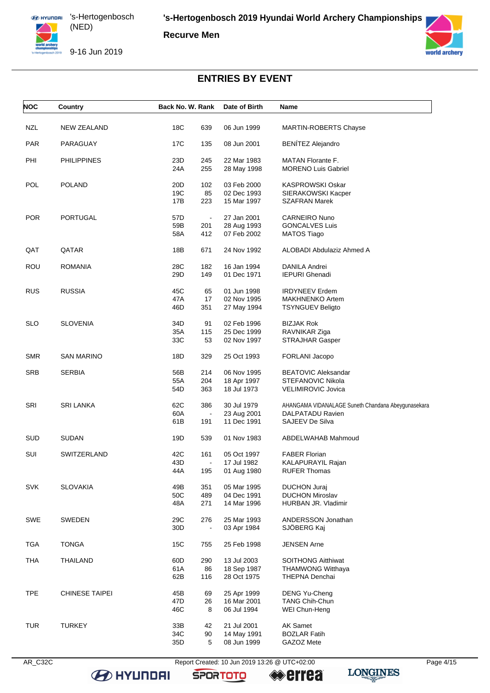**Recurve Men**





# **ENTRIES BY EVENT**

| <b>NOC</b> | Country               | Back No. W. Rank |                       | Date of Birth              | Name                                               |
|------------|-----------------------|------------------|-----------------------|----------------------------|----------------------------------------------------|
| <b>NZL</b> | <b>NEW ZEALAND</b>    | 18C              | 639                   | 06 Jun 1999                | <b>MARTIN-ROBERTS Chayse</b>                       |
|            |                       |                  |                       |                            |                                                    |
| <b>PAR</b> | PARAGUAY              | 17C              | 135                   | 08 Jun 2001                | <b>BENÍTEZ Alejandro</b>                           |
| PHI        | <b>PHILIPPINES</b>    | 23D              | 245                   | 22 Mar 1983                | <b>MATAN Florante F.</b>                           |
|            |                       | 24A              | 255                   | 28 May 1998                | <b>MORENO Luis Gabriel</b>                         |
| POL        | <b>POLAND</b>         | 20 <sub>D</sub>  | 102                   | 03 Feb 2000                |                                                    |
|            |                       | 19C              | 85                    | 02 Dec 1993                | KASPROWSKI Oskar<br>SIERAKOWSKI Kacper             |
|            |                       | 17B              | 223                   | 15 Mar 1997                | <b>SZAFRAN Marek</b>                               |
|            |                       |                  |                       |                            |                                                    |
| <b>POR</b> | PORTUGAL              | 57D<br>59B       | $\blacksquare$<br>201 | 27 Jan 2001                | <b>CARNEIRO Nuno</b><br><b>GONCALVES Luis</b>      |
|            |                       | 58A              | 412                   | 28 Aug 1993<br>07 Feb 2002 | <b>MATOS Tiago</b>                                 |
|            |                       |                  |                       |                            |                                                    |
| QAT        | QATAR                 | 18B              | 671                   | 24 Nov 1992                | ALOBADI Abdulaziz Ahmed A                          |
| <b>ROU</b> | <b>ROMANIA</b>        | 28C              | 182                   | 16 Jan 1994                | DANILA Andrei                                      |
|            |                       | 29D              | 149                   | 01 Dec 1971                | <b>IEPURI Ghenadi</b>                              |
|            |                       |                  |                       |                            |                                                    |
| <b>RUS</b> | <b>RUSSIA</b>         | 45C              | 65                    | 01 Jun 1998                | <b>IRDYNEEV Erdem</b>                              |
|            |                       | 47A<br>46D       | 17<br>351             | 02 Nov 1995<br>27 May 1994 | <b>MAKHNENKO Artem</b><br><b>TSYNGUEV Beligto</b>  |
|            |                       |                  |                       |                            |                                                    |
| <b>SLO</b> | <b>SLOVENIA</b>       | 34D              | 91                    | 02 Feb 1996                | <b>BIZJAK Rok</b>                                  |
|            |                       | 35A              | 115                   | 25 Dec 1999                | RAVNIKAR Ziga                                      |
|            |                       | 33C              | 53                    | 02 Nov 1997                | <b>STRAJHAR Gasper</b>                             |
| <b>SMR</b> | <b>SAN MARINO</b>     | 18D              | 329                   | 25 Oct 1993                | FORLANI Jacopo                                     |
| <b>SRB</b> | <b>SERBIA</b>         | 56B              | 214                   | 06 Nov 1995                | <b>BEATOVIC Aleksandar</b>                         |
|            |                       | 55A              | 204                   | 18 Apr 1997                | STEFANOVIC Nikola                                  |
|            |                       | 54D              | 363                   | 18 Jul 1973                | <b>VELIMIROVIC Jovica</b>                          |
| SRI        | <b>SRI LANKA</b>      | 62C              | 386                   | 30 Jul 1979                | AHANGAMA VIDANALAGE Suneth Chandana Abeygunasekara |
|            |                       | 60A              | $\blacksquare$        | 23 Aug 2001                | DALPATADU Ravien                                   |
|            |                       | 61B              | 191                   | 11 Dec 1991                | <b>SAJEEV De Silva</b>                             |
| <b>SUD</b> | <b>SUDAN</b>          | 19D              | 539                   | 01 Nov 1983                | ABDELWAHAB Mahmoud                                 |
| SUI        | SWITZERLAND           | 42C              | 161                   | 05 Oct 1997                | <b>FABER Florian</b>                               |
|            |                       | 43D              | $\blacksquare$        | 17 Jul 1982                | KALAPURAYIL Rajan                                  |
|            |                       | 44 A             | 195                   | 01 Aug 1980                | RUFER Thomas                                       |
| <b>SVK</b> | <b>SLOVAKIA</b>       | 49B              | 351                   | 05 Mar 1995                | <b>DUCHON Juraj</b>                                |
|            |                       | 50C              | 489                   | 04 Dec 1991                | <b>DUCHON Miroslav</b>                             |
|            |                       | 48A              | 271                   | 14 Mar 1996                | HURBAN JR. Vladimir                                |
|            |                       |                  |                       |                            |                                                    |
| <b>SWE</b> | SWEDEN                | 29C<br>30D       | 276<br>$\blacksquare$ | 25 Mar 1993<br>03 Apr 1984 | ANDERSSON Jonathan<br>SJÖBERG Kaj                  |
|            |                       |                  |                       |                            |                                                    |
| <b>TGA</b> | <b>TONGA</b>          | 15C              | 755                   | 25 Feb 1998                | <b>JENSEN Arne</b>                                 |
| <b>THA</b> | <b>THAILAND</b>       | 60D              | 290                   | 13 Jul 2003                | <b>SOITHONG Aitthiwat</b>                          |
|            |                       | 61A              | 86                    | 18 Sep 1987                | <b>THAMWONG Witthaya</b>                           |
|            |                       | 62B              | 116                   | 28 Oct 1975                | THEPNA Denchai                                     |
| <b>TPE</b> | <b>CHINESE TAIPEI</b> | 45B              | 69                    | 25 Apr 1999                | DENG Yu-Cheng                                      |
|            |                       | 47D              | 26                    | 16 Mar 2001                | <b>TANG Chih-Chun</b>                              |
|            |                       | 46C              | 8                     | 06 Jul 1994                | WEI Chun-Heng                                      |
| <b>TUR</b> | <b>TURKEY</b>         | 33B              | 42                    | 21 Jul 2001                | <b>AK Samet</b>                                    |
|            |                       | 34C              | 90                    | 14 May 1991                | <b>BOZLAR Fatih</b>                                |
|            |                       | 35D              | 5                     | 08 Jun 1999                | GAZOZ Mete                                         |

**B** HYUNDAI

AR\_C32C Report Created: 10 Jun 2019 13:26 @ UTC+02:00 Page 4/15

**SPORTOTO**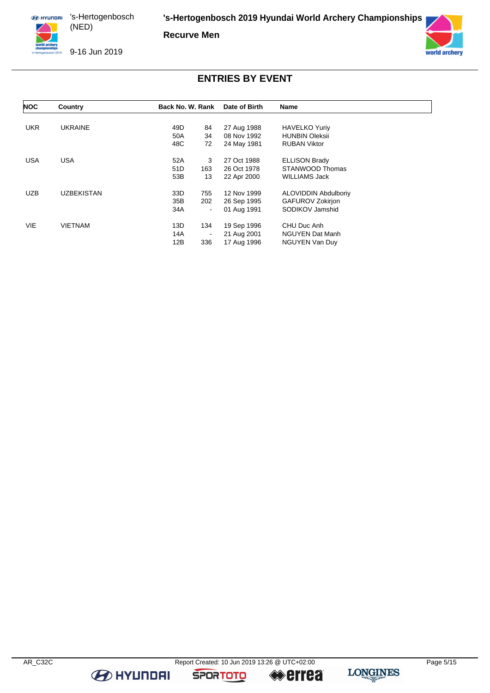**Recurve Men**





# **ENTRIES BY EVENT**

| <b>NOC</b> | Country           | Back No. W. Rank      | Date of Birth | <b>Name</b>                 |
|------------|-------------------|-----------------------|---------------|-----------------------------|
|            |                   |                       |               |                             |
| <b>UKR</b> | <b>UKRAINE</b>    | 49D<br>84             | 27 Aug 1988   | <b>HAVELKO Yuriy</b>        |
|            |                   | 50A<br>34             | 08 Nov 1992   | <b>HUNBIN Oleksii</b>       |
|            |                   | 48C<br>72             | 24 May 1981   | <b>RUBAN Viktor</b>         |
| <b>USA</b> | <b>USA</b>        | 52A<br>3              | 27 Oct 1988   | <b>ELLISON Brady</b>        |
|            |                   | 51D<br>163            | 26 Oct 1978   | STANWOOD Thomas             |
|            |                   | 53B<br>13             | 22 Apr 2000   | <b>WILLIAMS Jack</b>        |
| <b>UZB</b> | <b>UZBEKISTAN</b> | 33D<br>755            | 12 Nov 1999   | <b>ALOVIDDIN Abdulboriv</b> |
|            |                   | 35B<br>202            | 26 Sep 1995   | <b>GAFUROV Zokirjon</b>     |
|            |                   | 34A<br>$\blacksquare$ | 01 Aug 1991   | SODIKOV Jamshid             |
| <b>VIE</b> | <b>VIETNAM</b>    | 13D<br>134            | 19 Sep 1996   | CHU Duc Anh                 |
|            |                   | 14A<br>-              | 21 Aug 2001   | <b>NGUYEN Dat Manh</b>      |
|            |                   | 12B<br>336            | 17 Aug 1996   | <b>NGUYEN Van Duy</b>       |

**B** HYUNDAI

**SPORTOTO** 

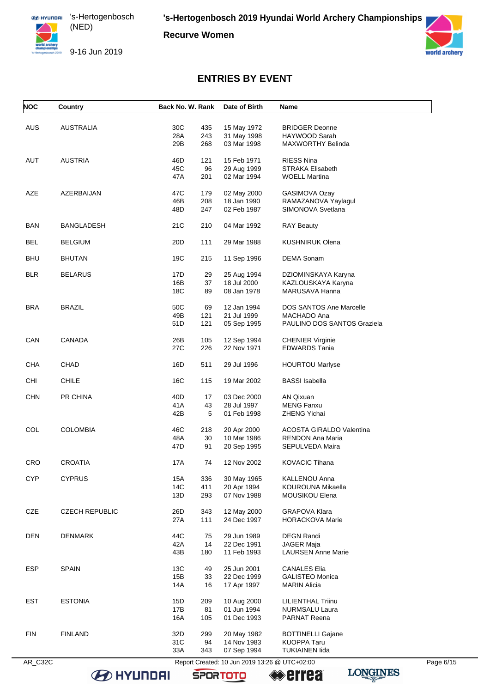**Recurve Women**

9-16 Jun 2019



# **ENTRIES BY EVENT**

| <b>NOC</b> | Country               | Back No. W. Rank         | Date of Birth                                 | Name                                            |           |
|------------|-----------------------|--------------------------|-----------------------------------------------|-------------------------------------------------|-----------|
| <b>AUS</b> | <b>AUSTRALIA</b>      | 30C<br>435               | 15 May 1972                                   | <b>BRIDGER Deonne</b>                           |           |
|            |                       | 28A<br>243               | 31 May 1998                                   | HAYWOOD Sarah                                   |           |
|            |                       | 29B<br>268               | 03 Mar 1998                                   | <b>MAXWORTHY Belinda</b>                        |           |
| AUT        | <b>AUSTRIA</b>        | 46D<br>121               | 15 Feb 1971                                   | <b>RIESS Nina</b>                               |           |
|            |                       | 45C<br>96                | 29 Aug 1999                                   | <b>STRAKA Elisabeth</b>                         |           |
|            |                       | 47A<br>201               | 02 Mar 1994                                   | <b>WOELL Martina</b>                            |           |
| <b>AZE</b> | AZERBAIJAN            | 47C<br>179               | 02 May 2000                                   | GASIMOVA Ozay                                   |           |
|            |                       | 46B<br>208               | 18 Jan 1990                                   | RAMAZANOVA Yaylagul                             |           |
|            |                       | 48D<br>247               | 02 Feb 1987                                   | SIMONOVA Svetlana                               |           |
| <b>BAN</b> | <b>BANGLADESH</b>     | 21C<br>210               | 04 Mar 1992                                   | <b>RAY Beauty</b>                               |           |
| <b>BEL</b> | <b>BELGIUM</b>        | 20 <sub>D</sub><br>111   | 29 Mar 1988                                   | <b>KUSHNIRUK Olena</b>                          |           |
| <b>BHU</b> | <b>BHUTAN</b>         | 19C<br>215               | 11 Sep 1996                                   | <b>DEMA Sonam</b>                               |           |
| <b>BLR</b> | <b>BELARUS</b>        | 17D<br>29                | 25 Aug 1994                                   | DZIOMINSKAYA Karyna                             |           |
|            |                       | 16B<br>37                | 18 Jul 2000                                   | KAZLOUSKAYA Karyna                              |           |
|            |                       | 18C<br>89                | 08 Jan 1978                                   | MARUSAVA Hanna                                  |           |
| <b>BRA</b> | <b>BRAZIL</b>         | 50C<br>69                | 12 Jan 1994                                   | <b>DOS SANTOS Ane Marcelle</b>                  |           |
|            |                       | 49B<br>121               | 21 Jul 1999                                   | MACHADO Ana                                     |           |
|            |                       | 51D<br>121               | 05 Sep 1995                                   | PAULINO DOS SANTOS Graziela                     |           |
|            |                       |                          |                                               |                                                 |           |
| CAN        | CANADA                | 26B<br>105<br>27C<br>226 | 12 Sep 1994<br>22 Nov 1971                    | <b>CHENIER Virginie</b><br><b>EDWARDS Tania</b> |           |
| CHA        | CHAD                  | 16D<br>511               | 29 Jul 1996                                   | <b>HOURTOU Marlyse</b>                          |           |
| <b>CHI</b> | <b>CHILE</b>          | 16C<br>115               | 19 Mar 2002                                   | <b>BASSI</b> Isabella                           |           |
| <b>CHN</b> | PR CHINA              | 40 <sub>D</sub><br>17    | 03 Dec 2000                                   | <b>AN Qixuan</b>                                |           |
|            |                       | 41 A<br>43               | 28 Jul 1997                                   | <b>MENG Fanxu</b>                               |           |
|            |                       | 42B<br>5                 | 01 Feb 1998                                   | <b>ZHENG Yichai</b>                             |           |
| COL        | <b>COLOMBIA</b>       | 46C<br>218               | 20 Apr 2000                                   | <b>ACOSTA GIRALDO Valentina</b>                 |           |
|            |                       | 30<br>48A                | 10 Mar 1986                                   | RENDON Ana Maria                                |           |
|            |                       | 47D<br>91                | 20 Sep 1995                                   | SEPULVEDA Maira                                 |           |
| <b>CRO</b> | <b>CROATIA</b>        | 17A<br>74                | 12 Nov 2002                                   | <b>KOVACIC Tihana</b>                           |           |
| <b>CYP</b> | <b>CYPRUS</b>         | 15A<br>336               | 30 May 1965                                   | KALLENOU Anna                                   |           |
|            |                       | 14C<br>411               | 20 Apr 1994                                   | KOUROUNA Mikaella                               |           |
|            |                       | 13D<br>293               | 07 Nov 1988                                   | MOUSIKOU Elena                                  |           |
| CZE        | <b>CZECH REPUBLIC</b> | 26D<br>343               | 12 May 2000                                   | <b>GRAPOVA Klara</b>                            |           |
|            |                       | 27A<br>111               | 24 Dec 1997                                   | <b>HORACKOVA Marie</b>                          |           |
| <b>DEN</b> | <b>DENMARK</b>        | 44C<br>75                | 29 Jun 1989                                   | <b>DEGN Randi</b>                               |           |
|            |                       | 42A<br>14                | 22 Dec 1991                                   | <b>JAGER Maja</b>                               |           |
|            |                       | 43B<br>180               | 11 Feb 1993                                   | <b>LAURSEN Anne Marie</b>                       |           |
| <b>ESP</b> | <b>SPAIN</b>          | 13C<br>49                | 25 Jun 2001                                   | <b>CANALES Elia</b>                             |           |
|            |                       | 15B<br>33                | 22 Dec 1999                                   | <b>GALISTEO Monica</b>                          |           |
|            |                       | 14A<br>16                | 17 Apr 1997                                   | <b>MARIN Alicia</b>                             |           |
| <b>EST</b> | <b>ESTONIA</b>        | 15D<br>209               | 10 Aug 2000                                   | <b>LILIENTHAL Triinu</b>                        |           |
|            |                       | 17B<br>81                | 01 Jun 1994                                   | NURMSALU Laura                                  |           |
|            |                       | 16A<br>105               | 01 Dec 1993                                   | <b>PARNAT Reena</b>                             |           |
| <b>FIN</b> | <b>FINLAND</b>        | 32D<br>299               | 20 May 1982                                   | <b>BOTTINELLI Gajane</b>                        |           |
|            |                       | 31C<br>94                | 14 Nov 1983                                   | <b>KUOPPA Taru</b>                              |           |
|            |                       | 33A<br>343               | 07 Sep 1994                                   | <b>TUKIAINEN lida</b>                           |           |
| AR_C32C    |                       |                          | Report Created: 10 Jun 2019 13:26 @ UTC+02:00 |                                                 | Page 6/15 |

**SPORTOTO** 

**BE HYUNDAI** 

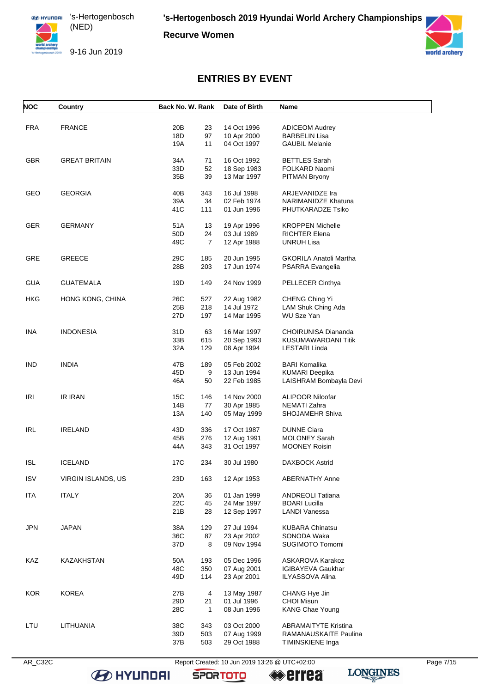

**Recurve Women**

9-16 Jun 2019



# **ENTRIES BY EVENT**

| <b>NOC</b> | Country              | Back No. W. Rank |                | Date of Birth | Name                        |
|------------|----------------------|------------------|----------------|---------------|-----------------------------|
| <b>FRA</b> | <b>FRANCE</b>        | 20B              | 23             | 14 Oct 1996   | <b>ADICEOM Audrey</b>       |
|            |                      | 18D              | 97             | 10 Apr 2000   | <b>BARBELIN Lisa</b>        |
|            |                      | 19A              | 11             | 04 Oct 1997   | <b>GAUBIL Melanie</b>       |
| <b>GBR</b> | <b>GREAT BRITAIN</b> | 34A              | 71             | 16 Oct 1992   | <b>BETTLES Sarah</b>        |
|            |                      | 33D              | 52             | 18 Sep 1983   | FOLKARD Naomi               |
|            |                      | 35B              | 39             | 13 Mar 1997   | <b>PITMAN Bryony</b>        |
| GEO        | <b>GEORGIA</b>       | 40B              | 343            | 16 Jul 1998   | <b>ARJEVANIDZE Ira</b>      |
|            |                      | 39A              | 34             | 02 Feb 1974   | <b>NARIMANIDZE Khatuna</b>  |
|            |                      | 41C              | 111            | 01 Jun 1996   | PHUTKARADZE Tsiko           |
| <b>GER</b> | <b>GERMANY</b>       | 51A              | 13             | 19 Apr 1996   | <b>KROPPEN Michelle</b>     |
|            |                      | 50 <sub>D</sub>  | 24             | 03 Jul 1989   | <b>RICHTER Elena</b>        |
|            |                      | 49C              | $\overline{7}$ | 12 Apr 1988   | <b>UNRUH Lisa</b>           |
| <b>GRE</b> | <b>GREECE</b>        | 29C              | 185            | 20 Jun 1995   | GKORILA Anatoli Martha      |
|            |                      | 28B              | 203            | 17 Jun 1974   | PSARRA Evangelia            |
| <b>GUA</b> | <b>GUATEMALA</b>     | 19D              | 149            | 24 Nov 1999   | PELLECER Cinthya            |
| HKG        | HONG KONG, CHINA     | 26C              | 527            | 22 Aug 1982   | CHENG Ching Yi              |
|            |                      | 25B              | 218            | 14 Jul 1972   | LAM Shuk Ching Ada          |
|            |                      | 27D              | 197            | 14 Mar 1995   | <b>WU Sze Yan</b>           |
| INA        | <b>INDONESIA</b>     | 31D              | 63             | 16 Mar 1997   | CHOIRUNISA Diananda         |
|            |                      | 33B              | 615            | 20 Sep 1993   | KUSUMAWARDANI Titik         |
|            |                      | 32A              | 129            | 08 Apr 1994   | LESTARI Linda               |
| <b>IND</b> | <b>INDIA</b>         | 47B              | 189            | 05 Feb 2002   | <b>BARI Komalika</b>        |
|            |                      | 45D              | 9              | 13 Jun 1994   | KUMARI Deepika              |
|            |                      | 46A              | 50             | 22 Feb 1985   | LAISHRAM Bombayla Devi      |
| IRI        | <b>IR IRAN</b>       | 15C              | 146            | 14 Nov 2000   | <b>ALIPOOR Niloofar</b>     |
|            |                      | 14B              | 77             | 30 Apr 1985   | NEMATI Zahra                |
|            |                      | 13A              | 140            | 05 May 1999   | SHOJAMEHR Shiva             |
| <b>IRL</b> | <b>IRELAND</b>       | 43D              | 336            | 17 Oct 1987   | <b>DUNNE Ciara</b>          |
|            |                      | 45B              | 276            | 12 Aug 1991   | <b>MOLONEY Sarah</b>        |
|            |                      | 44A              | 343            | 31 Oct 1997   | <b>MOONEY Roisin</b>        |
| <b>ISL</b> | <b>ICELAND</b>       | 17C              | 234            | 30 Jul 1980   | <b>DAXBOCK Astrid</b>       |
| <b>ISV</b> | VIRGIN ISLANDS, US   | 23D              | 163            | 12 Apr 1953   | <b>ABERNATHY Anne</b>       |
| <b>ITA</b> | <b>ITALY</b>         | 20A              | 36             | 01 Jan 1999   | <b>ANDREOLI Tatiana</b>     |
|            |                      | 22C              | 45             | 24 Mar 1997   | <b>BOARI Lucilla</b>        |
|            |                      | 21B              | 28             | 12 Sep 1997   | LANDI Vanessa               |
| <b>JPN</b> | <b>JAPAN</b>         | 38A              | 129            | 27 Jul 1994   | <b>KUBARA Chinatsu</b>      |
|            |                      | 36C              | 87             | 23 Apr 2002   | SONODA Waka                 |
|            |                      | 37D              | 8              | 09 Nov 1994   | <b>SUGIMOTO Tomomi</b>      |
| KAZ        | KAZAKHSTAN           | 50A              | 193            | 05 Dec 1996   | ASKAROVA Karakoz            |
|            |                      | 48C              | 350            | 07 Aug 2001   | IGIBAYEVA Gaukhar           |
|            |                      | 49D              | 114            | 23 Apr 2001   | <b>ILYASSOVA Alina</b>      |
| <b>KOR</b> | <b>KOREA</b>         | 27B              | 4              | 13 May 1987   | CHANG Hye Jin               |
|            |                      | 29D              | 21             | 01 Jul 1996   | <b>CHOI Misun</b>           |
|            |                      | 28C              | $\mathbf{1}$   | 08 Jun 1996   | <b>KANG Chae Young</b>      |
| LTU        | LITHUANIA            | 38C              | 343            | 03 Oct 2000   | <b>ABRAMAITYTE Kristina</b> |
|            |                      | 39D              | 503            | 07 Aug 1999   | RAMANAUSKAITE Paulina       |
|            |                      | 37B              | 503            | 29 Oct 1988   | TIMINSKIENE Inga            |

**B** HYUNDAI

AR\_C32C Report Created: 10 Jun 2019 13:26 @ UTC+02:00 Page 7/15

**SPORTOTO**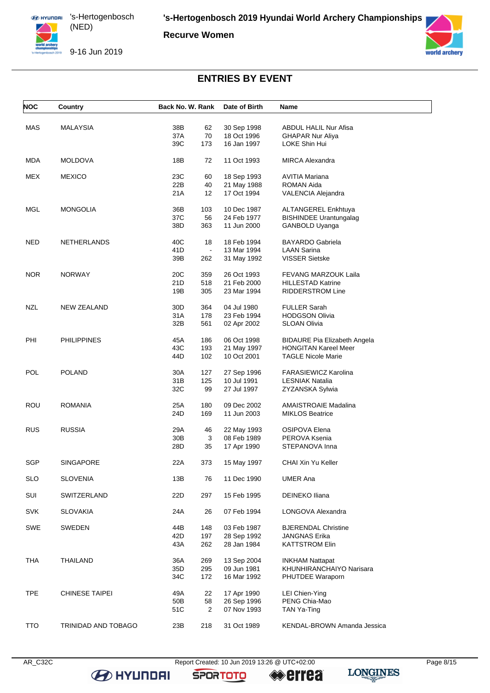

**Recurve Women**

9-16 Jun 2019



# **ENTRIES BY EVENT**

| <b>NOC</b> | Country               | Back No. W. Rank |                | Date of Birth              | Name                                                     |
|------------|-----------------------|------------------|----------------|----------------------------|----------------------------------------------------------|
| MAS        | MALAYSIA              | 38B              | 62             | 30 Sep 1998                | <b>ABDUL HALIL Nur Afisa</b>                             |
|            |                       | 37A              | 70             | 18 Oct 1996                | <b>GHAPAR Nur Aliya</b>                                  |
|            |                       | 39C              | 173            | 16 Jan 1997                | LOKE Shin Hui                                            |
|            |                       |                  |                |                            |                                                          |
| <b>MDA</b> | <b>MOLDOVA</b>        | 18B              | 72             | 11 Oct 1993                | <b>MIRCA Alexandra</b>                                   |
| MEX        | <b>MEXICO</b>         | 23C              | 60             | 18 Sep 1993                | AVITIA Mariana                                           |
|            |                       | 22B              | 40             | 21 May 1988                | ROMAN Aida                                               |
|            |                       | 21A              | 12             | 17 Oct 1994                | VALENCIA Alejandra                                       |
| MGL        | <b>MONGOLIA</b>       | 36B              | 103            | 10 Dec 1987                | ALTANGEREL Enkhtuya                                      |
|            |                       | 37C              | 56             | 24 Feb 1977                | <b>BISHINDEE Urantungalag</b>                            |
|            |                       | 38D              | 363            | 11 Jun 2000                | GANBOLD Uyanga                                           |
| NED        | <b>NETHERLANDS</b>    | 40C              | 18             | 18 Feb 1994                | <b>BAYARDO Gabriela</b>                                  |
|            |                       | 41D              | $\blacksquare$ | 13 Mar 1994                | <b>LAAN Sarina</b>                                       |
|            |                       | 39B              | 262            | 31 May 1992                | <b>VISSER Sietske</b>                                    |
|            |                       |                  |                |                            |                                                          |
| <b>NOR</b> | <b>NORWAY</b>         | 20C              | 359            | 26 Oct 1993                | <b>FEVANG MARZOUK Laila</b>                              |
|            |                       | 21D              | 518            | 21 Feb 2000                | <b>HILLESTAD Katrine</b>                                 |
|            |                       | 19B              | 305            | 23 Mar 1994                | <b>RIDDERSTROM Line</b>                                  |
| NZL        | <b>NEW ZEALAND</b>    | 30D              | 364            | 04 Jul 1980                | <b>FULLER Sarah</b>                                      |
|            |                       | 31A              | 178            | 23 Feb 1994                | <b>HODGSON Olivia</b>                                    |
|            |                       | 32B              | 561            | 02 Apr 2002                | <b>SLOAN Olivia</b>                                      |
|            |                       |                  |                |                            |                                                          |
| PHI        | <b>PHILIPPINES</b>    | 45A              | 186            | 06 Oct 1998                | <b>BIDAURE Pia Elizabeth Angela</b>                      |
|            |                       | 43C<br>44D       | 193<br>102     | 21 May 1997<br>10 Oct 2001 | <b>HONGITAN Kareel Meer</b><br><b>TAGLE Nicole Marie</b> |
|            |                       |                  |                |                            |                                                          |
| POL        | <b>POLAND</b>         | 30A              | 127            | 27 Sep 1996                | <b>FARASIEWICZ Karolina</b>                              |
|            |                       | 31B              | 125            | 10 Jul 1991                | <b>LESNIAK Natalia</b>                                   |
|            |                       | 32C              | 99             | 27 Jul 1997                | ZYZANSKA Sylwia                                          |
| ROU        | <b>ROMANIA</b>        | 25A              | 180            | 09 Dec 2002                | <b>AMAISTROAIE Madalina</b>                              |
|            |                       | 24D              | 169            | 11 Jun 2003                | <b>MIKLOS Beatrice</b>                                   |
| RUS        | <b>RUSSIA</b>         | 29A              | 46             | 22 May 1993                | <b>OSIPOVA Elena</b>                                     |
|            |                       | 30 <sub>B</sub>  | 3              | 08 Feb 1989                | PEROVA Ksenia                                            |
|            |                       | 28D              | 35             | 17 Apr 1990                | STEPANOVA Inna                                           |
|            |                       |                  |                |                            |                                                          |
| <b>SGP</b> | SINGAPORE             | 22A              | 373            | 15 May 1997                | <b>CHAI Xin Yu Keller</b>                                |
| <b>SLO</b> | <b>SLOVENIA</b>       | 13B              | 76             | 11 Dec 1990                | <b>UMER Ana</b>                                          |
| SUI        | SWITZERLAND           | 22D              | 297            | 15 Feb 1995                | DEINEKO Iliana                                           |
|            |                       |                  |                |                            |                                                          |
| <b>SVK</b> | SLOVAKIA              | 24A              | 26             | 07 Feb 1994                | LONGOVA Alexandra                                        |
| <b>SWE</b> | SWEDEN                | 44B              | 148            | 03 Feb 1987                | <b>BJERENDAL Christine</b>                               |
|            |                       | 42D              | 197            | 28 Sep 1992                | <b>JANGNAS Erika</b>                                     |
|            |                       | 43A              | 262            | 28 Jan 1984                | <b>KATTSTROM Elin</b>                                    |
|            |                       |                  |                |                            |                                                          |
| <b>THA</b> | <b>THAILAND</b>       | 36A              | 269            | 13 Sep 2004                | <b>INKHAM Nattapat</b>                                   |
|            |                       | 35D              | 295            | 09 Jun 1981                | KHUNHIRANCHAIYO Narisara                                 |
|            |                       | 34C              | 172            | 16 Mar 1992                | PHUTDEE Waraporn                                         |
| <b>TPE</b> | <b>CHINESE TAIPEI</b> | 49A              | 22             | 17 Apr 1990                | LEI Chien-Ying                                           |
|            |                       | 50B              | 58             | 26 Sep 1996                | PENG Chia-Mao                                            |
|            |                       | 51C              | 2              | 07 Nov 1993                | TAN Ya-Ting                                              |
| <b>TTO</b> | TRINIDAD AND TOBAGO   | 23B              | 218            | 31 Oct 1989                | KENDAL-BROWN Amanda Jessica                              |
|            |                       |                  |                |                            |                                                          |

**B** HYUNDAI

AR\_C32C Report Created: 10 Jun 2019 13:26 @ UTC+02:00 Page 8/15

**SPORTOTO** 

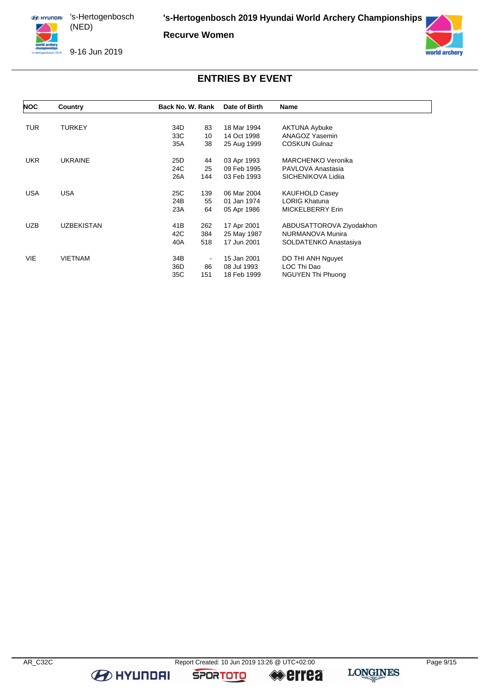**Recurve Women**

9-16 Jun 2019



### **ENTRIES BY EVENT**

| NOC        | Country           | Back No. W. Rank | Date of Birth | Name                      |
|------------|-------------------|------------------|---------------|---------------------------|
|            |                   |                  |               |                           |
| TUR.       | <b>TURKEY</b>     | 34D<br>83        | 18 Mar 1994   | <b>AKTUNA Aybuke</b>      |
|            |                   | 33C<br>10        | 14 Oct 1998   | ANAGOZ Yasemin            |
|            |                   | 35A<br>38        | 25 Aug 1999   | <b>COSKUN Gulnaz</b>      |
| <b>UKR</b> | <b>UKRAINE</b>    | 25D<br>44        | 03 Apr 1993   | <b>MARCHENKO Veronika</b> |
|            |                   | 24C<br>25        | 09 Feb 1995   | PAVLOVA Anastasia         |
|            |                   | 26A<br>144       | 03 Feb 1993   | SICHENIKOVA Lidija        |
| <b>USA</b> | <b>USA</b>        | 25C<br>139       | 06 Mar 2004   | <b>KAUFHOLD Casey</b>     |
|            |                   | 24B<br>55        | 01 Jan 1974   | <b>LORIG Khatuna</b>      |
|            |                   | 23A<br>64        | 05 Apr 1986   | <b>MICKELBERRY Erin</b>   |
| <b>UZB</b> | <b>UZBEKISTAN</b> | 41B<br>262       | 17 Apr 2001   | ABDUSATTOROVA Ziyodakhon  |
|            |                   | 42C<br>384       | 25 May 1987   | NURMANOVA Munira          |
|            |                   | 518<br>40A       | 17 Jun 2001   | SOLDATENKO Anastasiya     |
| VIE        | <b>VIETNAM</b>    | 34B              | 15 Jan 2001   | DO THI ANH Nguyet         |
|            |                   | 36D<br>86        | 08 Jul 1993   | LOC Thi Dao               |
|            |                   | 35C<br>151       | 18 Feb 1999   | <b>NGUYEN Thi Phuong</b>  |

**B** HYUNDAI



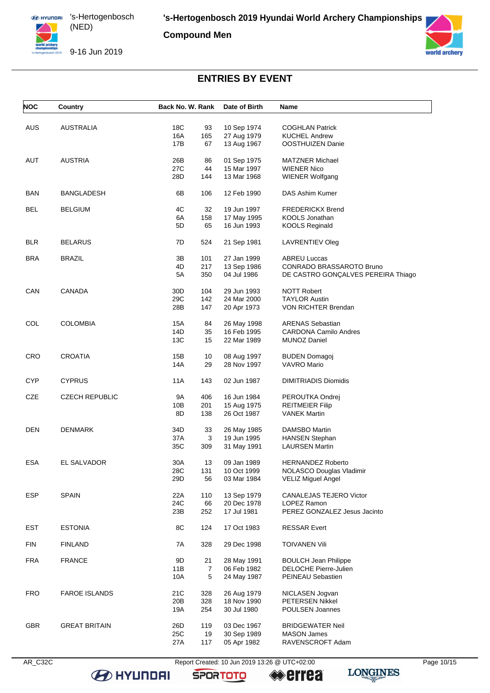

**Compound Men**

9-16 Jun 2019



# **ENTRIES BY EVENT**

| <b>NOC</b> | Country               | Back No. W. Rank                              | Date of Birth                             | Name                                                                                  |
|------------|-----------------------|-----------------------------------------------|-------------------------------------------|---------------------------------------------------------------------------------------|
| <b>AUS</b> | AUSTRALIA             | 18C<br>93<br>16A<br>165<br>17B<br>67          | 10 Sep 1974<br>27 Aug 1979<br>13 Aug 1967 | <b>COGHLAN Patrick</b><br><b>KUCHEL Andrew</b><br>OOSTHUIZEN Danie                    |
| AUT        | <b>AUSTRIA</b>        | 26B<br>86<br>27C<br>44<br>28D<br>144          | 01 Sep 1975<br>15 Mar 1997<br>13 Mar 1968 | <b>MATZNER Michael</b><br><b>WIENER Nico</b><br><b>WIENER Wolfgang</b>                |
| <b>BAN</b> | <b>BANGLADESH</b>     | 6B<br>106                                     | 12 Feb 1990                               | DAS Ashim Kumer                                                                       |
| BEL        | <b>BELGIUM</b>        | 4C<br>32<br>6A<br>158<br>5D<br>65             | 19 Jun 1997<br>17 May 1995<br>16 Jun 1993 | <b>FREDERICKX Brend</b><br>KOOLS Jonathan<br><b>KOOLS Reginald</b>                    |
| <b>BLR</b> | <b>BELARUS</b>        | 7D<br>524                                     | 21 Sep 1981                               | <b>LAVRENTIEV Oleg</b>                                                                |
| <b>BRA</b> | <b>BRAZIL</b>         | 3B<br>101<br>4D<br>217<br>5A<br>350           | 27 Jan 1999<br>13 Sep 1986<br>04 Jul 1986 | <b>ABREU Luccas</b><br>CONRADO BRASSAROTO Bruno<br>DE CASTRO GONÇALVES PEREIRA Thiago |
| CAN        | CANADA                | 30D<br>104<br>29C<br>142<br>28B<br>147        | 29 Jun 1993<br>24 Mar 2000<br>20 Apr 1973 | <b>NOTT Robert</b><br><b>TAYLOR Austin</b><br>VON RICHTER Brendan                     |
| COL        | <b>COLOMBIA</b>       | 15A<br>84<br>14D<br>35<br>13C<br>15           | 26 May 1998<br>16 Feb 1995<br>22 Mar 1989 | <b>ARENAS Sebastian</b><br><b>CARDONA Camilo Andres</b><br><b>MUNOZ Daniel</b>        |
| <b>CRO</b> | <b>CROATIA</b>        | 15B<br>10<br>14A<br>29                        | 08 Aug 1997<br>28 Nov 1997                | <b>BUDEN Domagoj</b><br><b>VAVRO Mario</b>                                            |
| CYP        | <b>CYPRUS</b>         | 11A<br>143                                    | 02 Jun 1987                               | <b>DIMITRIADIS Diomidis</b>                                                           |
| CZE        | <b>CZECH REPUBLIC</b> | 9A<br>406<br>10B<br>201<br>8D<br>138          | 16 Jun 1984<br>15 Aug 1975<br>26 Oct 1987 | PEROUTKA Ondrej<br><b>REITMEIER Filip</b><br><b>VANEK Martin</b>                      |
| DEN        | <b>DENMARK</b>        | 34D<br>33<br>3<br>37A<br>35C<br>309           | 26 May 1985<br>19 Jun 1995<br>31 May 1991 | <b>DAMSBO Martin</b><br><b>HANSEN Stephan</b><br><b>LAURSEN Martin</b>                |
| ESA        | EL SALVADOR           | 30A<br>13<br>28C<br>131<br>29D<br>56          | 09 Jan 1989<br>10 Oct 1999<br>03 Mar 1984 | <b>HERNANDEZ Roberto</b><br>NOLASCO Douglas Vladimir<br><b>VELIZ Miguel Angel</b>     |
| <b>ESP</b> | <b>SPAIN</b>          | 22A<br>110<br>24C<br>66<br>23B<br>252         | 13 Sep 1979<br>20 Dec 1978<br>17 Jul 1981 | CANALEJAS TEJERO Victor<br><b>LOPEZ Ramon</b><br>PEREZ GONZALEZ Jesus Jacinto         |
| <b>EST</b> | <b>ESTONIA</b>        | 8C<br>124                                     | 17 Oct 1983                               | <b>RESSAR Evert</b>                                                                   |
| <b>FIN</b> | <b>FINLAND</b>        | 7A<br>328                                     | 29 Dec 1998                               | <b>TOIVANEN Vili</b>                                                                  |
| <b>FRA</b> | <b>FRANCE</b>         | 9D<br>21<br>$\overline{7}$<br>11B<br>10A<br>5 | 28 May 1991<br>06 Feb 1982<br>24 May 1987 | <b>BOULCH Jean Philippe</b><br><b>DELOCHE Pierre-Julien</b><br>PEINEAU Sebastien      |
| <b>FRO</b> | <b>FAROE ISLANDS</b>  | 21C<br>328<br>328<br>20B<br>254<br>19A        | 26 Aug 1979<br>18 Nov 1990<br>30 Jul 1980 | NICLASEN Jogvan<br>PETERSEN Nikkel<br>POULSEN Joannes                                 |
| <b>GBR</b> | <b>GREAT BRITAIN</b>  | 26D<br>119<br>25C<br>19<br>27A<br>117         | 03 Dec 1967<br>30 Sep 1989<br>05 Apr 1982 | <b>BRIDGEWATER Neil</b><br><b>MASON James</b><br>RAVENSCROFT Adam                     |

**B** HYUNDAI

AR\_C32C Report Created: 10 Jun 2019 13:26 @ UTC+02:00 Page 10/15

**SPORTOTO**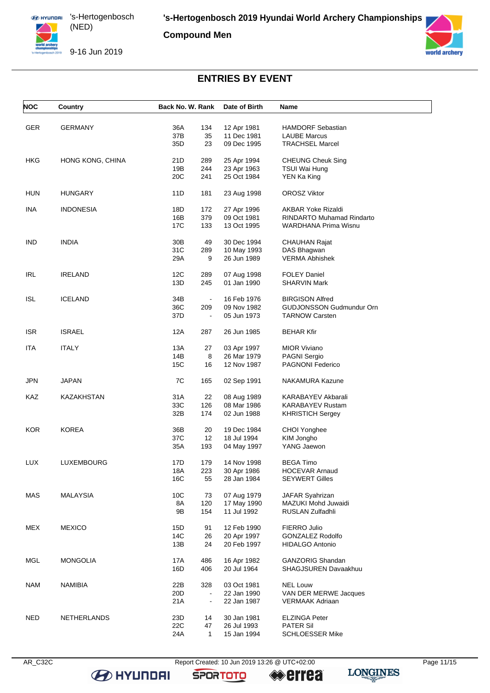

**Compound Men**

9-16 Jun 2019



### **ENTRIES BY EVENT**

| <b>NOC</b> | Country          | Back No. W. Rank                  | Date of Birth              | Name                                       |
|------------|------------------|-----------------------------------|----------------------------|--------------------------------------------|
|            |                  |                                   |                            |                                            |
| <b>GER</b> | <b>GERMANY</b>   | 36A<br>134                        | 12 Apr 1981                | <b>HAMDORF Sebastian</b>                   |
|            |                  | 37B<br>35                         | 11 Dec 1981                | <b>LAUBE Marcus</b>                        |
|            |                  | 35D<br>23                         | 09 Dec 1995                | <b>TRACHSEL Marcel</b>                     |
| HKG        | HONG KONG, CHINA | 21D<br>289                        | 25 Apr 1994                | <b>CHEUNG Cheuk Sing</b>                   |
|            |                  | 19B<br>244                        | 23 Apr 1963                | TSUI Wai Hung                              |
|            |                  | 20 <sub>C</sub><br>241            | 25 Oct 1984                | YEN Ka King                                |
| <b>HUN</b> | <b>HUNGARY</b>   | 11D<br>181                        | 23 Aug 1998                | <b>OROSZ Viktor</b>                        |
| <b>INA</b> | <b>INDONESIA</b> | 18D<br>172                        | 27 Apr 1996                | <b>AKBAR Yoke Rizaldi</b>                  |
|            |                  | 16B<br>379                        | 09 Oct 1981                | <b>RINDARTO Muhamad Rindarto</b>           |
|            |                  | 17C<br>133                        | 13 Oct 1995                | WARDHANA Prima Wisnu                       |
| IND        | <b>INDIA</b>     | 30 <sub>B</sub><br>49             | 30 Dec 1994                | <b>CHAUHAN Rajat</b>                       |
|            |                  | 31C<br>289                        | 10 May 1993                | DAS Bhagwan                                |
|            |                  | 29A<br>9                          | 26 Jun 1989                | <b>VERMA Abhishek</b>                      |
|            |                  |                                   |                            |                                            |
| <b>IRL</b> | <b>IRELAND</b>   | 12C<br>289<br>13D<br>245          | 07 Aug 1998<br>01 Jan 1990 | <b>FOLEY Daniel</b><br><b>SHARVIN Mark</b> |
|            |                  |                                   |                            |                                            |
| ISL        | <b>ICELAND</b>   | 34B<br>$\blacksquare$             | 16 Feb 1976                | <b>BIRGISON Alfred</b>                     |
|            |                  | 36C<br>209                        | 09 Nov 1982                | <b>GUDJONSSON Gudmundur Orn</b>            |
|            |                  | 37D                               | 05 Jun 1973                | <b>TARNOW Carsten</b>                      |
| <b>ISR</b> | <b>ISRAEL</b>    | 12A<br>287                        | 26 Jun 1985                | <b>BEHAR Kfir</b>                          |
| <b>ITA</b> | <b>ITALY</b>     | 13A<br>27                         | 03 Apr 1997                | <b>MIOR Viviano</b>                        |
|            |                  | 14B<br>8                          | 26 Mar 1979                | PAGNI Sergio                               |
|            |                  | 15C<br>16                         | 12 Nov 1987                | <b>PAGNONI Federico</b>                    |
| <b>JPN</b> | <b>JAPAN</b>     | 7C<br>165                         | 02 Sep 1991                | NAKAMURA Kazune                            |
| KAZ        | KAZAKHSTAN       | 31A<br>22                         | 08 Aug 1989                | KARABAYEV Akbarali                         |
|            |                  | 33C<br>126                        | 08 Mar 1986                | <b>KARABAYEV Rustam</b>                    |
|            |                  | 32B<br>174                        | 02 Jun 1988                | <b>KHRISTICH Sergey</b>                    |
| KOR        | <b>KOREA</b>     | 36B<br>20                         | 19 Dec 1984                | CHOI Yonghee                               |
|            |                  | 37C<br>12                         | 18 Jul 1994                | KIM Jongho                                 |
|            |                  | 35A<br>193                        | 04 May 1997                | YANG Jaewon                                |
|            |                  |                                   |                            |                                            |
| <b>LUX</b> | LUXEMBOURG       | 17D<br>179                        | 14 Nov 1998                | <b>BEGA Timo</b>                           |
|            |                  | 18A<br>223                        | 30 Apr 1986                | <b>HOCEVAR Arnaud</b>                      |
|            |                  | 16C<br>55                         | 28 Jan 1984                | <b>SEYWERT Gilles</b>                      |
| MAS        | <b>MALAYSIA</b>  | 10C<br>73                         | 07 Aug 1979                | JAFAR Syahrizan                            |
|            |                  | 8A<br>120                         | 17 May 1990                | MAZUKI Mohd Juwaidi                        |
|            |                  | 9B<br>154                         | 11 Jul 1992                | <b>RUSLAN Zulfadhli</b>                    |
| MEX        | <b>MEXICO</b>    | 15D<br>91                         | 12 Feb 1990                | FIERRO Julio                               |
|            |                  | 14C<br>26                         | 20 Apr 1997                | <b>GONZALEZ Rodolfo</b>                    |
|            |                  | 13B<br>24                         | 20 Feb 1997                | <b>HIDALGO Antonio</b>                     |
|            |                  |                                   |                            | <b>GANZORIG Shandan</b>                    |
| <b>MGL</b> | <b>MONGOLIA</b>  | 17A<br>486<br>16D                 | 16 Apr 1982<br>20 Jul 1964 | SHAGJSUREN Davaakhuu                       |
|            |                  | 406                               |                            |                                            |
| <b>NAM</b> | <b>NAMIBIA</b>   | 22B<br>328                        | 03 Oct 1981                | <b>NEL Louw</b>                            |
|            |                  | 20 <sub>D</sub><br>$\blacksquare$ | 22 Jan 1990                | VAN DER MERWE Jacques                      |
|            |                  | 21A<br>$\blacksquare$             | 22 Jan 1987                | <b>VERMAAK Adriaan</b>                     |
| <b>NED</b> | NETHERLANDS      | 23D<br>14                         | 30 Jan 1981                | <b>ELZINGA Peter</b>                       |
|            |                  | 22C<br>47                         | 26 Jul 1993                | <b>PATER Sil</b>                           |
|            |                  | 24A<br>$\mathbf{1}$               | 15 Jan 1994                | <b>SCHLOESSER Mike</b>                     |
|            |                  |                                   |                            |                                            |

**B** HYUNDAI

AR\_C32C Report Created: 10 Jun 2019 13:26 @ UTC+02:00 Page 11/15

**SPORTOTO** 

**errea**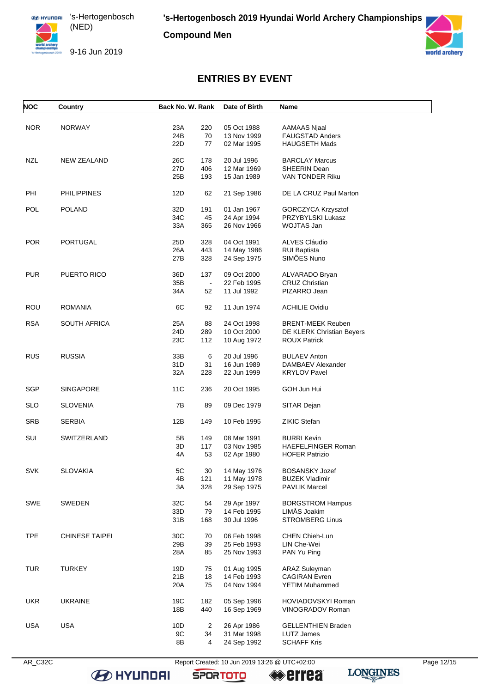

**Compound Men**

9-16 Jun 2019



### **ENTRIES BY EVENT**

| <b>NOC</b> | Country               | Back No. W. Rank      | Date of Birth | Name                      |
|------------|-----------------------|-----------------------|---------------|---------------------------|
| <b>NOR</b> | <b>NORWAY</b>         | 23A<br>220            | 05 Oct 1988   | AAMAAS Njaal              |
|            |                       | 24B<br>70             | 13 Nov 1999   | FAUGSTAD Anders           |
|            |                       | 22D<br>77             | 02 Mar 1995   | <b>HAUGSETH Mads</b>      |
| <b>NZL</b> | <b>NEW ZEALAND</b>    | 26C<br>178            | 20 Jul 1996   | <b>BARCLAY Marcus</b>     |
|            |                       | 27D<br>406            | 12 Mar 1969   | SHEERIN Dean              |
|            |                       | 25B<br>193            | 15 Jan 1989   | VAN TONDER Riku           |
| PHI        | <b>PHILIPPINES</b>    | 12D<br>62             | 21 Sep 1986   | DE LA CRUZ Paul Marton    |
| <b>POL</b> | <b>POLAND</b>         | 32D<br>191            | 01 Jan 1967   | GORCZYCA Krzysztof        |
|            |                       | 34C<br>45             | 24 Apr 1994   | PRZYBYLSKI Lukasz         |
|            |                       | 33A<br>365            | 26 Nov 1966   | WOJTAS Jan                |
| <b>POR</b> | <b>PORTUGAL</b>       | 25D<br>328            | 04 Oct 1991   | ALVES Cláudio             |
|            |                       | 26A<br>443            | 14 May 1986   | <b>RUI Baptista</b>       |
|            |                       | 27B<br>328            | 24 Sep 1975   | SIMÕES Nuno               |
| <b>PUR</b> | <b>PUERTO RICO</b>    | 36D<br>137            | 09 Oct 2000   | ALVARADO Bryan            |
|            |                       | 35B<br>$\blacksquare$ | 22 Feb 1995   | <b>CRUZ Christian</b>     |
|            |                       | 34A<br>52             | 11 Jul 1992   | PIZARRO Jean              |
| ROU        | <b>ROMANIA</b>        | 6C<br>92              | 11 Jun 1974   | <b>ACHILIE Ovidiu</b>     |
| <b>RSA</b> | <b>SOUTH AFRICA</b>   | 25A<br>88             | 24 Oct 1998   | <b>BRENT-MEEK Reuben</b>  |
|            |                       | 24D<br>289            | 10 Oct 2000   | DE KLERK Christian Beyers |
|            |                       | 23C<br>112            | 10 Aug 1972   | <b>ROUX Patrick</b>       |
| <b>RUS</b> | <b>RUSSIA</b>         | 33B<br>6              | 20 Jul 1996   | <b>BULAEV Anton</b>       |
|            |                       | 31D<br>31             | 16 Jun 1989   | DAMBAEV Alexander         |
|            |                       | 32A<br>228            | 22 Jun 1999   | <b>KRYLOV Pavel</b>       |
| <b>SGP</b> | <b>SINGAPORE</b>      | <b>11C</b><br>236     | 20 Oct 1995   | GOH Jun Hui               |
| <b>SLO</b> | <b>SLOVENIA</b>       | 7B<br>89              | 09 Dec 1979   | SITAR Dejan               |
| <b>SRB</b> | <b>SERBIA</b>         | 12B<br>149            | 10 Feb 1995   | <b>ZIKIC Stefan</b>       |
| SUI        | SWITZERLAND           | 5Β<br>149             | 08 Mar 1991   | <b>BURRI Kevin</b>        |
|            |                       | 3D<br>117             | 03 Nov 1985   | <b>HAEFELFINGER Roman</b> |
|            |                       | 4A<br>53              | 02 Apr 1980   | <b>HOFER Patrizio</b>     |
| SVK        | <b>SLOVAKIA</b>       | $5\mathrm{C}$<br>30   | 14 May 1976   | <b>BOSANSKY Jozef</b>     |
|            |                       | 4B<br>121             | 11 May 1978   | <b>BUZEK Vladimir</b>     |
|            |                       | 3A<br>328             | 29 Sep 1975   | <b>PAVLIK Marcel</b>      |
| SWE        | <b>SWEDEN</b>         | 32C<br>54             | 29 Apr 1997   | <b>BORGSTROM Hampus</b>   |
|            |                       | 33D<br>79             | 14 Feb 1995   | LIMÅS Joakim              |
|            |                       | 31B<br>168            | 30 Jul 1996   | <b>STROMBERG Linus</b>    |
| <b>TPE</b> | <b>CHINESE TAIPEI</b> | 30C<br>70             | 06 Feb 1998   | CHEN Chieh-Lun            |
|            |                       | 29B<br>39             | 25 Feb 1993   | LIN Che-Wei               |
|            |                       | 28A<br>85             | 25 Nov 1993   | PAN Yu Ping               |
| <b>TUR</b> | <b>TURKEY</b>         | 19D<br>75             | 01 Aug 1995   | <b>ARAZ Suleyman</b>      |
|            |                       | 21B<br>18             | 14 Feb 1993   | <b>CAGIRAN Evren</b>      |
|            |                       | 20A<br>75             | 04 Nov 1994   | <b>YETIM Muhammed</b>     |
| <b>UKR</b> | <b>UKRAINE</b>        | 19C<br>182            | 05 Sep 1996   | <b>HOVIADOVSKYI Roman</b> |
|            |                       | 18B<br>440            | 16 Sep 1969   | VINOGRADOV Roman          |
| <b>USA</b> | <b>USA</b>            | 10D<br>$\overline{2}$ | 26 Apr 1986   | <b>GELLENTHIEN Braden</b> |
|            |                       | 9C<br>34              | 31 Mar 1998   | <b>LUTZ James</b>         |
|            |                       | 8B<br>4               | 24 Sep 1992   | <b>SCHAFF Kris</b>        |
|            |                       |                       |               |                           |

**B** HYUNDAI

AR\_C32C Report Created: 10 Jun 2019 13:26 @ UTC+02:00 Page 12/15

**SPORTOTO** 

**errea**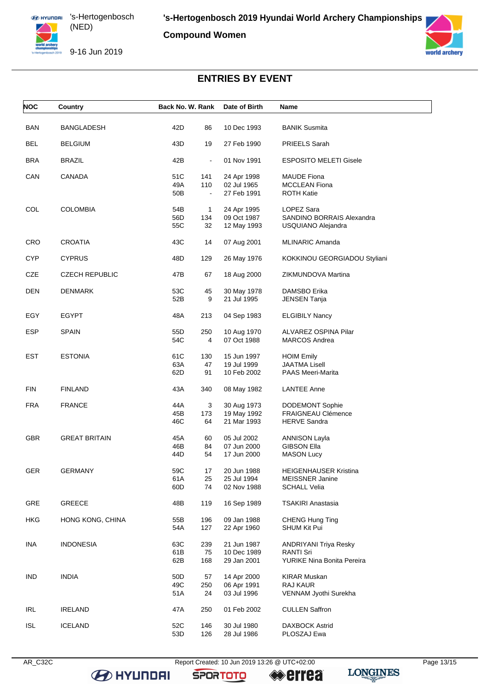

**Compound Women**

9-16 Jun 2019



# **ENTRIES BY EVENT**

| <b>NOC</b> | Country                 | Back No. W. Rank |                | Date of Birth | Name                          |
|------------|-------------------------|------------------|----------------|---------------|-------------------------------|
| <b>BAN</b> | <b>BANGLADESH</b>       | 42D              | 86             | 10 Dec 1993   | <b>BANIK Susmita</b>          |
| <b>BEL</b> | <b>BELGIUM</b>          | 43D              | 19             | 27 Feb 1990   | PRIEELS Sarah                 |
| <b>BRA</b> | <b>BRAZIL</b>           | 42B              | $\blacksquare$ | 01 Nov 1991   | <b>ESPOSITO MELETI Gisele</b> |
| CAN        | CANADA                  | 51C              | 141            | 24 Apr 1998   | <b>MAUDE Fiona</b>            |
|            |                         | 49A              | 110            | 02 Jul 1965   | <b>MCCLEAN Fiona</b>          |
|            |                         | 50B              | $\blacksquare$ | 27 Feb 1991   | <b>ROTH Katie</b>             |
| COL        | <b>COLOMBIA</b>         | 54B              | $\mathbf{1}$   | 24 Apr 1995   | LOPEZ Sara                    |
|            |                         | 56D              | 134            | 09 Oct 1987   | SANDINO BORRAIS Alexandra     |
|            |                         | 55C              | 32             | 12 May 1993   | USQUIANO Alejandra            |
| <b>CRO</b> | <b>CROATIA</b>          | 43C              | 14             | 07 Aug 2001   | <b>MLINARIC Amanda</b>        |
| <b>CYP</b> | <b>CYPRUS</b>           | 48D              | 129            | 26 May 1976   | KOKKINOU GEORGIADOU Styliani  |
| CZE        | <b>CZECH REPUBLIC</b>   | 47B              | 67             | 18 Aug 2000   | ZIKMUNDOVA Martina            |
| DEN        | <b>DENMARK</b>          | 53C              | 45             | 30 May 1978   | DAMSBO Erika                  |
|            |                         | 52B              | 9              | 21 Jul 1995   | JENSEN Tanja                  |
| EGY        | <b>EGYPT</b>            | 48A              | 213            | 04 Sep 1983   | <b>ELGIBILY Nancy</b>         |
| <b>ESP</b> | <b>SPAIN</b>            | 55D              | 250            | 10 Aug 1970   | ALVAREZ OSPINA Pilar          |
|            |                         | 54C              | 4              | 07 Oct 1988   | <b>MARCOS Andrea</b>          |
| EST        | <b>ESTONIA</b>          | 61C              | 130            | 15 Jun 1997   | <b>HOIM Emily</b>             |
|            |                         | 63A              | 47             | 19 Jul 1999   | JAATMA Lisell                 |
|            |                         | 62D              | 91             | 10 Feb 2002   | <b>PAAS Meeri-Marita</b>      |
| <b>FIN</b> | <b>FINLAND</b>          | 43A              | 340            | 08 May 1982   | <b>LANTEE Anne</b>            |
| <b>FRA</b> | <b>FRANCE</b>           | 44A              | 3              | 30 Aug 1973   | <b>DODEMONT Sophie</b>        |
|            |                         | 45B              | 173            | 19 May 1992   | <b>FRAIGNEAU Clémence</b>     |
|            |                         | 46C              | 64             | 21 Mar 1993   | <b>HERVE Sandra</b>           |
| <b>GBR</b> | <b>GREAT BRITAIN</b>    | 45A              | 60             | 05 Jul 2002   | <b>ANNISON Layla</b>          |
|            |                         | 46B              | 84             | 07 Jun 2000   | <b>GIBSON Ella</b>            |
|            |                         | 44D              | 54             | 17 Jun 2000   | <b>MASON Lucy</b>             |
| GER        | <b>GERMANY</b>          | 59C              | 17             | 20 Jun 1988   | HEIGENHAUSER Kristina         |
|            |                         | 61A              | 25             | 25 Jul 1994   | <b>MEISSNER Janine</b>        |
|            |                         | 60D              | 74             | 02 Nov 1988   | SCHALL Velia                  |
| GRE        | <b>GREECE</b>           | 48B              | 119            | 16 Sep 1989   | <b>TSAKIRI Anastasia</b>      |
| <b>HKG</b> | <b>HONG KONG, CHINA</b> | 55B              | 196            | 09 Jan 1988   | <b>CHENG Hung Ting</b>        |
|            |                         | 54A              | 127            | 22 Apr 1960   | <b>SHUM Kit Pui</b>           |
| <b>INA</b> | <b>INDONESIA</b>        | 63C              | 239            | 21 Jun 1987   | <b>ANDRIYANI Triya Resky</b>  |
|            |                         | 61B              | 75             | 10 Dec 1989   | <b>RANTI Sri</b>              |
|            |                         | 62B              | 168            | 29 Jan 2001   | YURIKE Nina Bonita Pereira    |
| <b>IND</b> | <b>INDIA</b>            | 50 <sub>D</sub>  | 57             | 14 Apr 2000   | KIRAR Muskan                  |
|            |                         | 49C              | 250            | 06 Apr 1991   | RAJ KAUR                      |
|            |                         | 51A              | 24             | 03 Jul 1996   | VENNAM Jyothi Surekha         |
| IRL        | <b>IRELAND</b>          | 47 A             | 250            | 01 Feb 2002   | <b>CULLEN Saffron</b>         |
| <b>ISL</b> | <b>ICELAND</b>          | 52C              | 146            | 30 Jul 1980   | <b>DAXBOCK Astrid</b>         |
|            |                         | 53D              | 126            | 28 Jul 1986   | PLOSZAJ Ewa                   |

**B** HYUNDAI

AR\_C32C Report Created: 10 Jun 2019 13:26 @ UTC+02:00 Page 13/15

**SPORTOTO** 

**errea** 

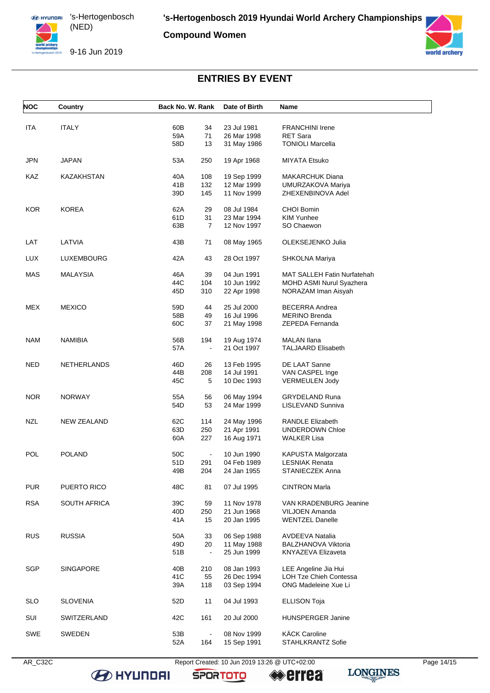

**Compound Women**

9-16 Jun 2019



# **ENTRIES BY EVENT**

| <b>NOC</b> | Country             | Back No. W. Rank         | Date of Birth              | Name                                                  |
|------------|---------------------|--------------------------|----------------------------|-------------------------------------------------------|
|            |                     |                          |                            |                                                       |
| <b>ITA</b> | <b>ITALY</b>        | 60B<br>34                | 23 Jul 1981                | <b>FRANCHINI Irene</b><br><b>RET Sara</b>             |
|            |                     | 59A<br>71<br>58D<br>13   | 26 Mar 1998                | <b>TONIOLI Marcella</b>                               |
|            |                     |                          | 31 May 1986                |                                                       |
| <b>JPN</b> | JAPAN               | 53A<br>250               | 19 Apr 1968                | MIYATA Etsuko                                         |
| KAZ        | KAZAKHSTAN          | 40A<br>108               | 19 Sep 1999                | MAKARCHUK Diana                                       |
|            |                     | 41 B<br>132              | 12 Mar 1999                | UMURZAKOVA Mariya                                     |
|            |                     | 39D<br>145               | 11 Nov 1999                | ZHEXENBINOVA Adel                                     |
| <b>KOR</b> | <b>KOREA</b>        | 62A<br>29                | 08 Jul 1984                | CHOI Bomin                                            |
|            |                     | 61D<br>31                | 23 Mar 1994                | KIM Yunhee                                            |
|            |                     | 63B<br>7                 | 12 Nov 1997                | SO Chaewon                                            |
|            |                     |                          |                            |                                                       |
| LAT        | LATVIA              | 43B<br>71                | 08 May 1965                | OLEKSEJENKO Julia                                     |
| <b>LUX</b> | LUXEMBOURG          | 42A<br>43                | 28 Oct 1997                | SHKOLNA Mariya                                        |
| MAS        | <b>MALAYSIA</b>     | 46A<br>39                | 04 Jun 1991                | <b>MAT SALLEH Fatin Nurfatehah</b>                    |
|            |                     | 44C<br>104               | 10 Jun 1992                | MOHD ASMI Nurul Syazhera                              |
|            |                     | 45D<br>310               | 22 Apr 1998                | NORAZAM Iman Aisyah                                   |
| MEX        | <b>MEXICO</b>       | 59D<br>44                | 25 Jul 2000                | <b>BECERRA Andrea</b>                                 |
|            |                     | 58B<br>49                | 16 Jul 1996                | <b>MERINO Brenda</b>                                  |
|            |                     | 60C<br>37                | 21 May 1998                | ZEPEDA Fernanda                                       |
|            |                     |                          |                            |                                                       |
| <b>NAM</b> | <b>NAMIBIA</b>      | 56B<br>194               | 19 Aug 1974                | <b>MALAN Ilana</b>                                    |
|            |                     | 57A<br>$\blacksquare$    | 21 Oct 1997                | <b>TALJAARD Elisabeth</b>                             |
| <b>NED</b> | <b>NETHERLANDS</b>  | 46D<br>26                | 13 Feb 1995                | DE LAAT Sanne                                         |
|            |                     | 44B<br>208               | 14 Jul 1991                | VAN CASPEL Inge                                       |
|            |                     | 45C<br>5                 | 10 Dec 1993                | <b>VERMEULEN Jody</b>                                 |
| NOR.       | <b>NORWAY</b>       | 55A<br>56                | 06 May 1994                | <b>GRYDELAND Runa</b>                                 |
|            |                     | 54D<br>53                | 24 Mar 1999                | LISLEVAND Sunniva                                     |
|            | <b>NEW ZEALAND</b>  |                          |                            | <b>RANDLE Elizabeth</b>                               |
| <b>NZL</b> |                     | 62C<br>114<br>63D<br>250 | 24 May 1996<br>21 Apr 1991 | UNDERDOWN Chloe                                       |
|            |                     | 60A<br>227               | 16 Aug 1971                | WALKER Lisa                                           |
|            |                     |                          |                            |                                                       |
| POL        | <b>POLAND</b>       | 50C<br>$\blacksquare$    | 10 Jun 1990                | KAPUSTA Malgorzata                                    |
|            |                     | 51D<br>291               | 04 Feb 1989                | LESNIAK Renata                                        |
|            |                     | 49B<br>204               | 24 Jan 1955                | STANIECZEK Anna                                       |
| <b>PUR</b> | PUERTO RICO         | 48C<br>81                | 07 Jul 1995                | <b>CINTRON Marla</b>                                  |
| <b>RSA</b> | <b>SOUTH AFRICA</b> | 39C<br>59                | 11 Nov 1978                | VAN KRADENBURG Jeanine                                |
|            |                     | 40 <sub>D</sub><br>250   | 21 Jun 1968                | <b>VILJOEN Amanda</b>                                 |
|            |                     | 41 A<br>15               | 20 Jan 1995                | <b>WENTZEL Danelle</b>                                |
| <b>RUS</b> | <b>RUSSIA</b>       | 50A<br>33                | 06 Sep 1988                | AVDEEVA Natalia                                       |
|            |                     | 49D<br>20                | 11 May 1988                | <b>BALZHANOVA Viktoria</b>                            |
|            |                     | 51B<br>$\blacksquare$    | 25 Jun 1999                | KNYAZEVA Elizaveta                                    |
| <b>SGP</b> | <b>SINGAPORE</b>    | 40B<br>210               | 08 Jan 1993                |                                                       |
|            |                     | 41C<br>55                | 26 Dec 1994                | LEE Angeline Jia Hui<br><b>LOH Tze Chieh Contessa</b> |
|            |                     | 39A<br>118               | 03 Sep 1994                | ONG Madeleine Xue Li                                  |
|            |                     |                          |                            |                                                       |
| <b>SLO</b> | <b>SLOVENIA</b>     | 52D<br>11                | 04 Jul 1993                | <b>ELLISON Toja</b>                                   |
| SUI        | SWITZERLAND         | 42C<br>161               | 20 Jul 2000                | HUNSPERGER Janine                                     |
| SWE        | <b>SWEDEN</b>       | 53B<br>$\blacksquare$    | 08 Nov 1999                | <b>KÄCK Caroline</b>                                  |
|            |                     | 52A<br>164               | 15 Sep 1991                | STAHLKRANTZ Sofie                                     |
|            |                     |                          |                            |                                                       |

AR\_C32C Report Created: 10 Jun 2019 13:26 @ UTC+02:00 Page 14/15